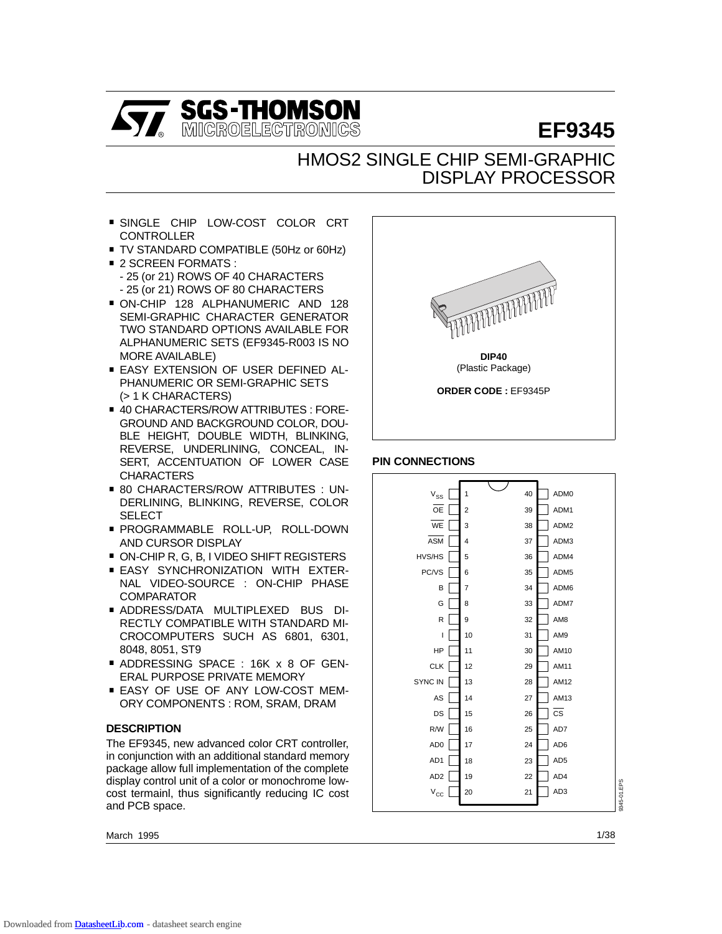

# **EF9345**

# HMOS2 SINGLE CHIP SEMI-GRAPHIC DISPLAY PROCESSOR

- **SINGLE CHIP LOW-COST COLOR CRT** CONTROLLER ■ SINGLE CHIP LOW-COST COLOR CRT<br>CONTROLLER<br>■ TV STANDARD COMPATIBLE (50Hz or 60Hz)
- 
- .<br>2 TV STANDARD COMP⊾<br>2 SCREEN FORMATS : - 25 (or 21) ROWS OF 40 CHARACTERS - 25 (or 21) ROWS OF 80 CHARACTERS
- . ON-CHIP 128 ALPHANUMERIC AND 128 SEMI-GRAPHIC CHARACTER GENERATOR TWO STANDARD OPTIONS AVAILABLE FOR ALPHANUMERIC SETS (EF9345-R003 IS NO MORE AVAILABLE)
- . EASY EXTENSION OF USER DEFINED AL-PHANUMERIC OR SEMI-GRAPHIC SETS (> 1 K CHARACTERS)
- . 40 CHARACTERS/ROW ATTRIBUTES : FORE-GROUND AND BACKGROUND COLOR, DOU-BLE HEIGHT, DOUBLE WIDTH, BLINKING, REVERSE, UNDERLINING, CONCEAL, IN-SERT, ACCENTUATION OF LOWER CASE<br>CHARACTERS<br>60 CHARACTERS/ROW ATTRIBUTES : UN-**CHARACTERS**
- DERLINING, BLINKING, REVERSE, COLOR **SELECT**
- . PROGRAMMABLE ROLL-UP, ROLL-DOWN AND CURSOR DISPLAY ■ PROGRAMMABLE ROLL-UP, ROLL-DOWN<br>AND CURSOR DISPLAY<br>■ ON-CHIP R, G, B, I VIDEO SHIFT REGISTERS
- 
- AND CURSOR DISPLAY<br>■ ON-CHIP R, G, B, I VIDEO SHIFT REGISTERS<br>■ EASY SYNCHRONIZATION WITH EXTER-NAL VIDEO-SOURCE : ON-CHIP PHASE COMPARATOR
- . ADDRESS/DATA MULTIPLEXED BUS DI-RECTLY COMPATIBLE WITH STANDARD MI-CROCOMPUTERS SUCH AS 6801, 6301, . ADDRESSING SPACE : 16K x 8 OF GEN-8048, 8051, ST9
- ERAL PURPOSE PRIVATE MEMORY ■ ADDRESSING SPACE : 16K x 8 OF GEN-<br>ERAL PURPOSE PRIVATE MEMORY<br>■ EASY OF USE OF ANY LOW-COST MEM-
- ORY COMPONENTS : ROM, SRAM, DRAM

# **DESCRIPTION**

The EF9345, new advanced color CRT controller, in conjunction with an additional standard memory package allow full implementation of the complete display control unit of a color or monochrome lowcost termainl, thus significantly reducing IC cost and PCB space.

March 1995



# **PIN CONNECTIONS**

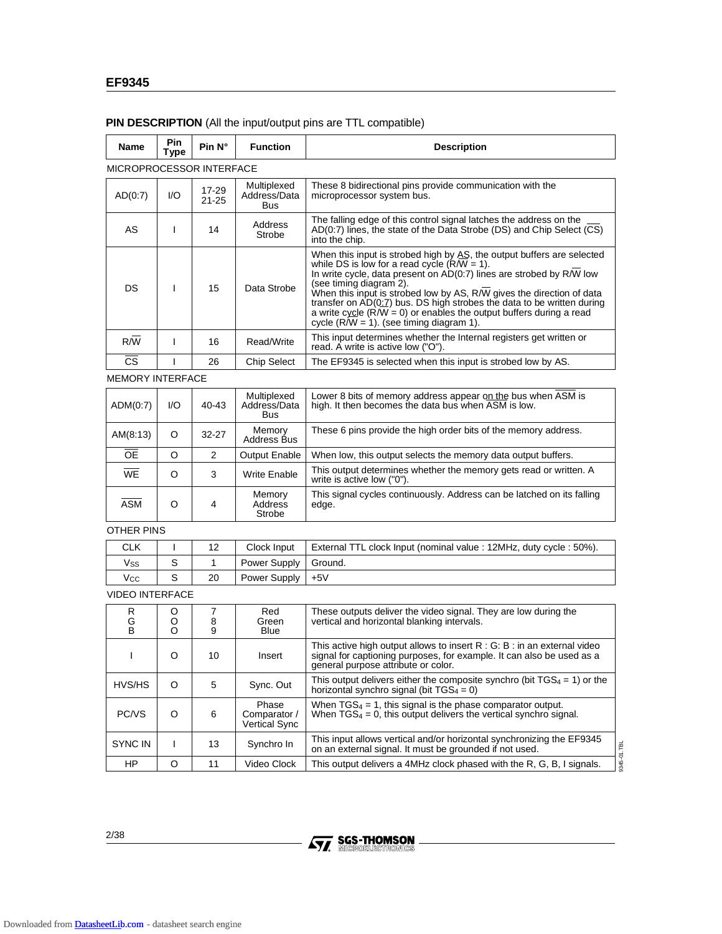| Name                     | Pin<br>Type | Pin $N^{\circ}$    | <b>Function</b>                               | <b>Description</b>                                                                                                                                                                                                                                                                                                                                                                                                                                                                                     |  |
|--------------------------|-------------|--------------------|-----------------------------------------------|--------------------------------------------------------------------------------------------------------------------------------------------------------------------------------------------------------------------------------------------------------------------------------------------------------------------------------------------------------------------------------------------------------------------------------------------------------------------------------------------------------|--|
| MICROPROCESSOR INTERFACE |             |                    |                                               |                                                                                                                                                                                                                                                                                                                                                                                                                                                                                                        |  |
| AD(0:7)                  | I/O         | 17-29<br>$21 - 25$ | Multiplexed<br>Address/Data<br><b>Bus</b>     | These 8 bidirectional pins provide communication with the<br>microprocessor system bus.                                                                                                                                                                                                                                                                                                                                                                                                                |  |
| AS                       | L           | 14                 | Address<br>Strobe                             | The falling edge of this control signal latches the address on the<br>AD(0:7) lines, the state of the Data Strobe (DS) and Chip Select (CS)<br>into the chip.                                                                                                                                                                                                                                                                                                                                          |  |
| DS                       | T           | 15                 | Data Strobe                                   | When this input is strobed high by AS, the output buffers are selected<br>while DS is low for a read cycle $(R/W = 1)$ .<br>In write cycle, data present on AD(0.7) lines are strobed by R/W low<br>(see timing diagram 2).<br>When this input is strobed low by AS, R/W gives the direction of data<br>transfer on AD(0.7) bus. DS high strobes the data to be written during<br>a write cycle $(R/W = 0)$ or enables the output buffers during a read<br>cycle $(R/W = 1)$ . (see timing diagram 1). |  |
| R/W                      | L           | 16                 | Read/Write                                    | This input determines whether the Internal registers get written or<br>read. A write is active low ("O").                                                                                                                                                                                                                                                                                                                                                                                              |  |
| <b>CS</b>                | ı           | 26                 | <b>Chip Select</b>                            | The EF9345 is selected when this input is strobed low by AS.                                                                                                                                                                                                                                                                                                                                                                                                                                           |  |
| <b>MEMORY INTERFACE</b>  |             |                    |                                               |                                                                                                                                                                                                                                                                                                                                                                                                                                                                                                        |  |
| ADM(0:7)                 | I/O         | 40-43              | Multiplexed<br>Address/Data<br><b>Bus</b>     | Lower 8 bits of memory address appear on the bus when ASM is<br>high. It then becomes the data bus when ASM is low.                                                                                                                                                                                                                                                                                                                                                                                    |  |
| AM(8:13)                 | O           | 32-27              | Memory<br><b>Address Bus</b>                  | These 6 pins provide the high order bits of the memory address.                                                                                                                                                                                                                                                                                                                                                                                                                                        |  |
| OE                       | O           | 2                  | Output Enable                                 | When low, this output selects the memory data output buffers.                                                                                                                                                                                                                                                                                                                                                                                                                                          |  |
| <b>WE</b>                | O           | 3                  | Write Enable                                  | This output determines whether the memory gets read or written. A<br>write is active low ("0").                                                                                                                                                                                                                                                                                                                                                                                                        |  |
| <b>ASM</b>               | O           | 4                  | Memory<br>Address<br>Strobe                   | This signal cycles continuously. Address can be latched on its falling<br>edge.                                                                                                                                                                                                                                                                                                                                                                                                                        |  |
| OTHER PINS               |             |                    |                                               |                                                                                                                                                                                                                                                                                                                                                                                                                                                                                                        |  |
| <b>CLK</b>               | L           | 12                 | Clock Input                                   | External TTL clock Input (nominal value : 12MHz, duty cycle : 50%).                                                                                                                                                                                                                                                                                                                                                                                                                                    |  |
| Vss                      | S           | $\mathbf{1}$       | Power Supply                                  | Ground.                                                                                                                                                                                                                                                                                                                                                                                                                                                                                                |  |
| Vcc                      | S           | 20                 | Power Supply                                  | $+5V$                                                                                                                                                                                                                                                                                                                                                                                                                                                                                                  |  |
| <b>VIDEO INTERFACE</b>   |             |                    |                                               |                                                                                                                                                                                                                                                                                                                                                                                                                                                                                                        |  |
| R<br>G<br>В              | O<br>O<br>O | 7<br>8<br>9        | Red<br>Green<br>Blue                          | These outputs deliver the video signal. They are low during the<br>vertical and horizontal blanking intervals.                                                                                                                                                                                                                                                                                                                                                                                         |  |
| L                        | O           | 10                 | Insert                                        | This active high output allows to insert R : G: B : in an external video<br>signal for captioning purposes, for example. It can also be used as a<br>general purpose attribute or color.                                                                                                                                                                                                                                                                                                               |  |
| HVS/HS                   | O           | 5                  | Sync. Out                                     | This output delivers either the composite synchro (bit $TGS_4 = 1$ ) or the<br>horizontal synchro signal (bit $TGS_4 = 0$ )                                                                                                                                                                                                                                                                                                                                                                            |  |
| PC/VS                    | O           | 6                  | Phase<br>Comparator /<br><b>Vertical Sync</b> | When $TGS_4 = 1$ , this signal is the phase comparator output.<br>When $TGS_4 = 0$ , this output delivers the vertical synchro signal.                                                                                                                                                                                                                                                                                                                                                                 |  |
| SYNC IN                  | L           | 13                 | Synchro In                                    | This input allows vertical and/or horizontal synchronizing the EF9345<br>3345-01.TBL<br>on an external signal. It must be grounded if not used.                                                                                                                                                                                                                                                                                                                                                        |  |
| ΗP                       | O           | 11                 | Video Clock                                   | This output delivers a 4MHz clock phased with the R, G, B, I signals.                                                                                                                                                                                                                                                                                                                                                                                                                                  |  |

# **PIN DESCRIPTION** (All the input/output pins are TTL compatible)

2/38

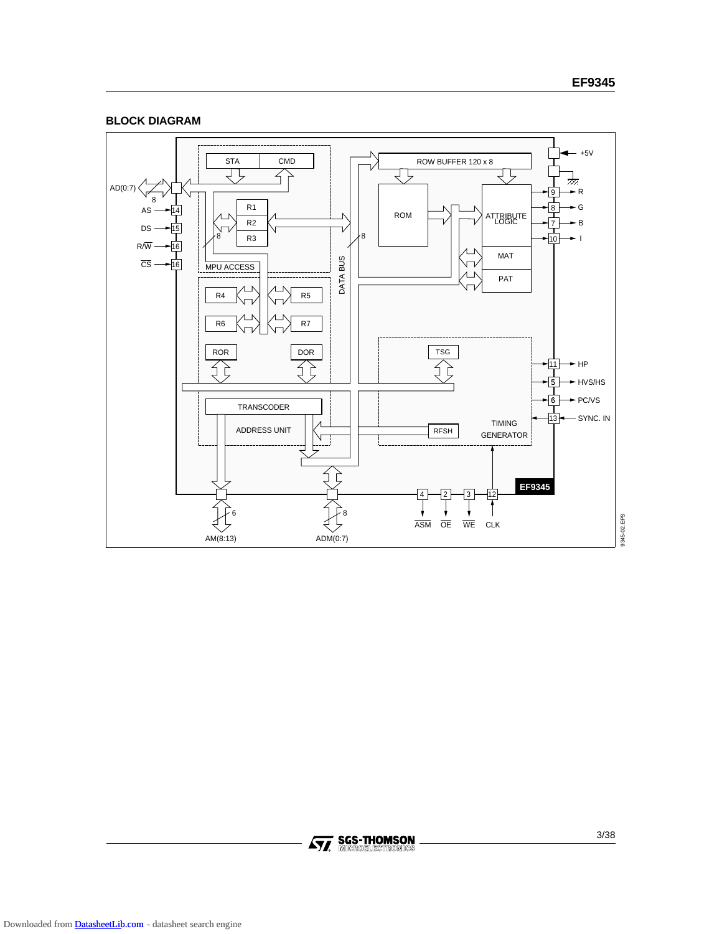



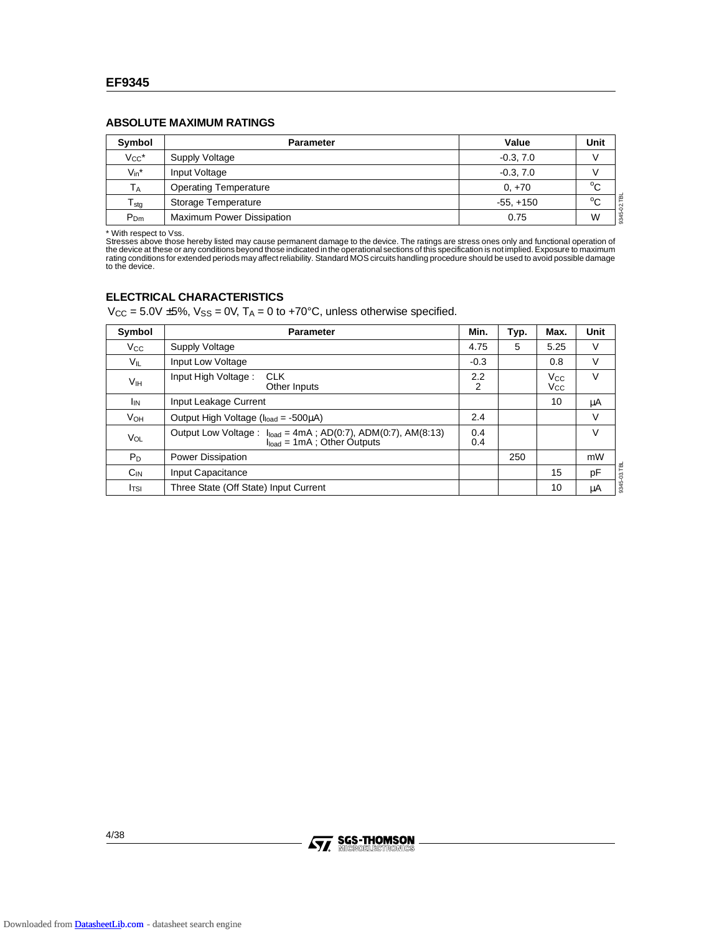### **ABSOLUTE MAXIMUM RATINGS**

| Symbol                | <b>Parameter</b>             | Value       | Unit        |
|-----------------------|------------------------------|-------------|-------------|
| $V_{CC}$ *            | Supply Voltage               | $-0.3, 7.0$ |             |
| $V_{in}^*$            | Input Voltage                | $-0.3, 7.0$ |             |
| <b>T</b> <sub>A</sub> | <b>Operating Temperature</b> | $0. +70$    | $\sim$<br>◡ |
| $T_{\text{stg}}$      | Storage Temperature          | $-55, +150$ | 폩<br>$\sim$ |
| $P_{Dm}$              | Maximum Power Dissipation    | 0.75        | 8345-<br>W  |

\* With respect to Vss.<br>Stresses above those hereby listed may cause permanent damage to the device. The ratings are stress ones only and functional operation of<br>the device at these or any conditions beyond those indicated to the device.

### **ELECTRICAL CHARACTERISTICS**

 $V_{CC} = 5.0V \pm 5\%$ ,  $V_{SS} = 0V$ ,  $T_A = 0$  to +70°C, unless otherwise specified.

| Symbol                | <b>Parameter</b>                                                                                    | Min.       | Typ. | Max.                                           | Unit |
|-----------------------|-----------------------------------------------------------------------------------------------------|------------|------|------------------------------------------------|------|
| $V_{\rm CC}$          | Supply Voltage                                                                                      | 4.75       | 5    | 5.25                                           | V    |
| V <sub>IL</sub>       | Input Low Voltage                                                                                   | $-0.3$     |      | 0.8                                            | V    |
| V <sub>IH</sub>       | Input High Voltage:<br><b>CLK</b><br>Other Inputs                                                   | 2.2<br>2   |      | <b>V<sub>cc</sub></b><br><b>V<sub>cc</sub></b> | V    |
| <b>I<sub>IN</sub></b> | Input Leakage Current                                                                               |            |      | 10                                             | μA   |
| <b>V<sub>OH</sub></b> | Output High Voltage (I <sub>load</sub> = -500μA)                                                    | 2.4        |      |                                                | V    |
| VOL                   | Output Low Voltage: $I_{load} = 4mA$ ; AD(0:7), ADM(0:7), AM(8:13)<br>$Iload = 1mA$ ; Other Outputs | 0.4<br>0.4 |      |                                                | V    |
| $P_D$                 | Power Dissipation                                                                                   |            | 250  |                                                | mW   |
| $C_{IN}$              | Input Capacitance                                                                                   |            |      | 15                                             | pF   |
| Itsi                  | Three State (Off State) Input Current                                                               |            |      | 10                                             | μA   |

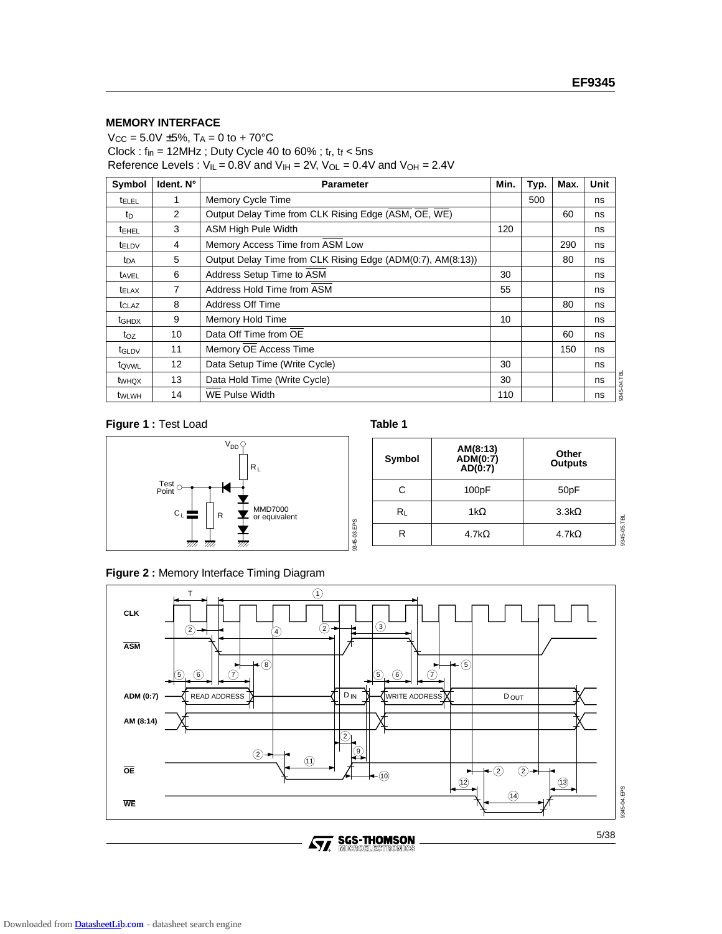### **MEMORY INTERFACE**

 $V_{CC} = 5.0V \pm 5\%, T_A = 0 \text{ to } + 70^{\circ}C$ Clock :  $f_{in} = 12$ MHz ; Duty Cycle 40 to 60% ;  $t_r$ ,  $t_f < 5$ ns Reference Levels :  $V_{II} = 0.8V$  and  $V_{IH} = 2V$ ,  $V_{OL} = 0.4V$  and  $V_{OH} = 2.4V$ 

| Symbol            | Ident. N°       | <b>Parameter</b>                                            | Min. | Typ. | Max. | Unit         |
|-------------------|-----------------|-------------------------------------------------------------|------|------|------|--------------|
| <b>t</b> ELEL     |                 | Memory Cycle Time                                           |      | 500  |      | ns           |
| tn                | 2               | Output Delay Time from CLK Rising Edge (ASM, OE, WE)        |      |      | 60   | ns           |
| <b>TEHEL</b>      | 3               | <b>ASM High Pule Width</b>                                  | 120  |      |      | ns           |
| t <sub>ELDV</sub> | 4               | Memory Access Time from ASM Low                             |      |      | 290  | ns           |
| t <sub>DA</sub>   | 5               | Output Delay Time from CLK Rising Edge (ADM(0:7), AM(8:13)) |      |      | 80   | ns           |
| t <sub>AVEL</sub> | 6               | Address Setup Time to ASM                                   | 30   |      |      | ns           |
| <b>TELAX</b>      | 7               | Address Hold Time from ASM                                  |      |      |      | ns           |
| t <sub>CLAZ</sub> | 8               | Address Off Time                                            |      |      | 80   | ns           |
| t <sub>GHDX</sub> | 9               | Memory Hold Time                                            | 10   |      |      | ns           |
| toz               | 10              | Data Off Time from OE                                       |      |      | 60   | ns           |
| t <sub>GLDV</sub> | 11              | Memory OE Access Time                                       |      |      | 150  | ns           |
| tovwL             | 12 <sup>°</sup> | Data Setup Time (Write Cycle)                               | 30   |      |      | ns           |
| twhox             | 13              | Data Hold Time (Write Cycle)                                | 30   |      |      | 04.TBL<br>ns |
| t <sub>WLWH</sub> | 14              | <b>WE Pulse Width</b>                                       | 110  |      |      | 8345<br>ns   |

# **Figure 1 : Test Load <b>Table 1**



| Symbol | AM(8:13)<br>ADM(0:7)<br>AD(0:7) | Other<br><b>Outputs</b> |             |
|--------|---------------------------------|-------------------------|-------------|
| С      | 100pF                           | 50 <sub>p</sub> F       |             |
| R∟     | 1k $\Omega$                     | $3.3k\Omega$            |             |
|        | 4.7k $\Omega$                   | 4.7k $\Omega$           | 9345-05.TBL |

# **Figure 2 :** Memory Interface Timing Diagram



9345-03.EPS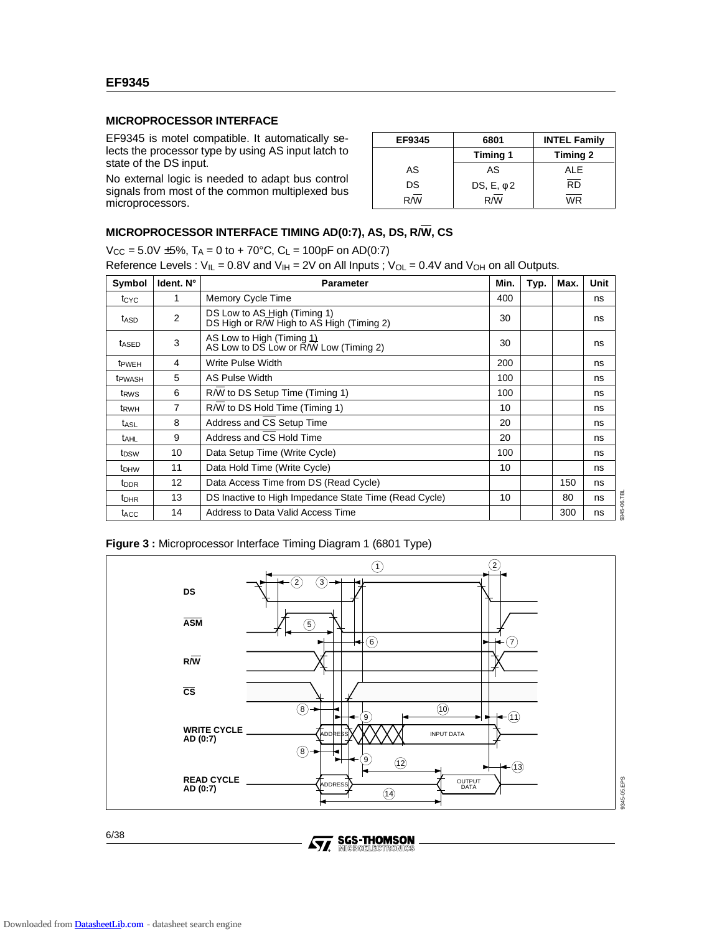## **MICROPROCESSOR INTERFACE**

EF9345 is motel compatible. It automatically selects the processor type by using AS input latch to state of the DS input.

No external logic is needed to adapt bus control signals from most of the common multiplexed bus microprocessors.

| EF9345 | 6801            | <b>INTEL Family</b> |  |  |
|--------|-----------------|---------------------|--|--|
|        | <b>Timing 1</b> | Timing 2            |  |  |
| AS     | AS              | ALE                 |  |  |
| DS     | DS, $E, \phi$ 2 | <b>RD</b>           |  |  |
| R/W    | R/M             | <b>WR</b>           |  |  |

# **MICROPROCESSOR INTERFACE TIMING AD(0:7), AS, DS, R/W, CS**

 $V_{CC} = 5.0V \pm 5\%, T_A = 0$  to + 70°C,  $C_L = 100pF$  on AD(0:7)

Reference Levels :  $V_{IL} = 0.8V$  and  $V_{IH} = 2V$  on All Inputs ;  $V_{OL} = 0.4V$  and  $V_{OH}$  on all Outputs.

| Symbol             | Ident. N°         | <b>Parameter</b>                                                          | Min. | Typ. | Max. | Unit              |
|--------------------|-------------------|---------------------------------------------------------------------------|------|------|------|-------------------|
| t <sub>CYC</sub>   |                   | Memory Cycle Time                                                         | 400  |      |      | ns                |
| t <sub>ASD</sub>   | $\overline{2}$    | DS Low to AS High (Timing 1)<br>DS High or R/W High to AS High (Timing 2) | 30   |      |      | ns                |
| t <sub>ASED</sub>  | 3                 | AS Low to High (Timing $11$ )<br>AS Low to DS Low or R/W Low (Timing 2)   |      |      |      | ns                |
| <b>T</b> PWEH      | 4                 | Write Pulse Width                                                         | 200  |      |      | ns                |
| t <sub>PWASH</sub> | 5                 | AS Pulse Width                                                            | 100  |      |      | ns                |
| t <sub>RWS</sub>   | 6                 | R/W to DS Setup Time (Timing 1)                                           |      |      |      | ns                |
| t <sub>RWH</sub>   | 7                 | R/W to DS Hold Time (Timing 1)<br>10                                      |      |      |      | ns                |
| t <sub>ASL</sub>   | 8                 | Address and CS Setup Time                                                 |      |      |      | ns                |
| t <sub>AHL</sub>   | 9                 | Address and CS Hold Time                                                  |      |      |      | ns                |
| t <sub>DSW</sub>   | 10                | 100<br>Data Setup Time (Write Cycle)                                      |      |      |      | ns                |
| t <sub>DHW</sub>   | 11                | Data Hold Time (Write Cycle)<br>10                                        |      |      |      | ns                |
| t <sub>DDR</sub>   | $12 \overline{ }$ | Data Access Time from DS (Read Cycle)                                     |      |      | 150  | ns                |
| t <sub>DHR</sub>   | 13                | DS Inactive to High Impedance State Time (Read Cycle)<br>10               |      |      | 80   | ns                |
| t <sub>ACC</sub>   | 14                | Address to Data Valid Access Time                                         |      |      | 300  | 3345-06.TBI<br>ns |

**Figure 3 :** Microprocessor Interface Timing Diagram 1 (6801 Type)



Downloaded from **DatasheetLib.com** - datasheet search engine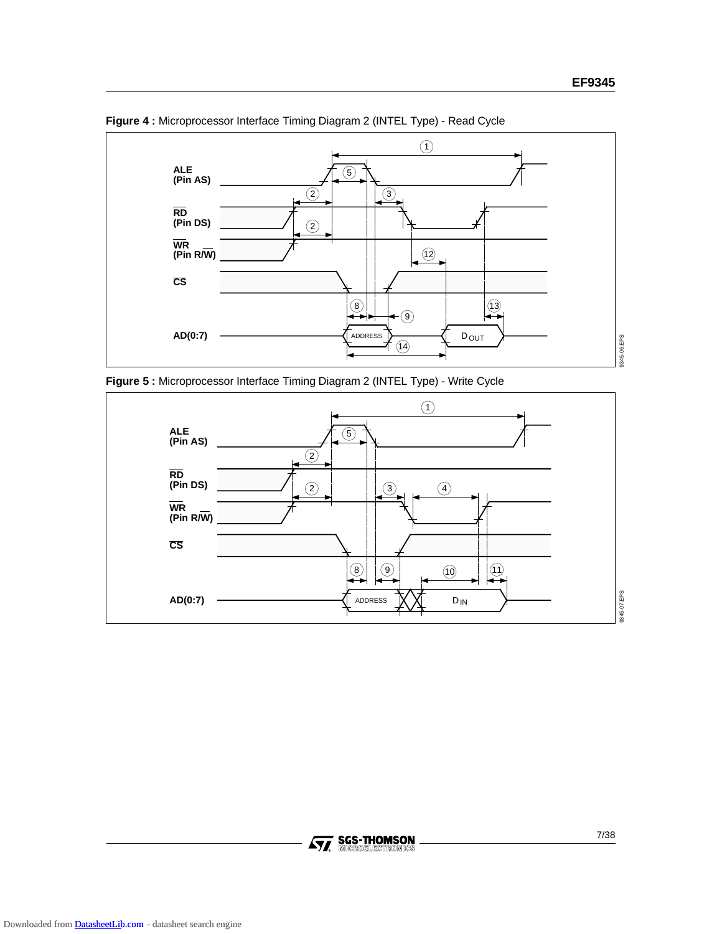

**Figure 4 :** Microprocessor Interface Timing Diagram 2 (INTEL Type) - Read Cycle





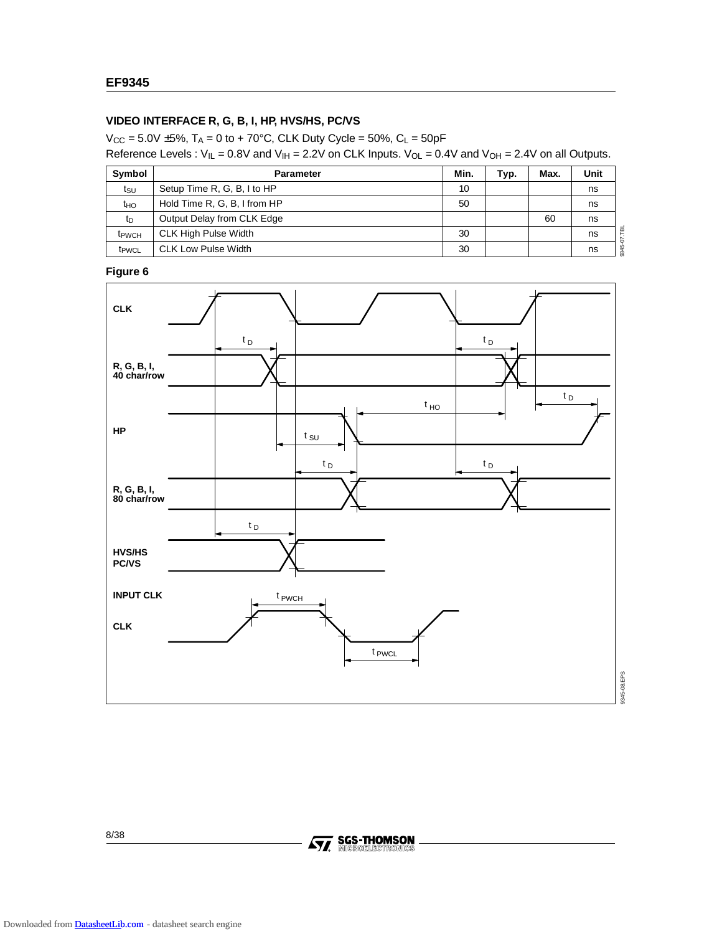# **VIDEO INTERFACE R, G, B, I, HP, HVS/HS, PC/VS**

 $V_{CC} = 5.0V \pm 5\%, T_A = 0$  to + 70°C, CLK Duty Cycle = 50%, C<sub>L</sub> = 50pF Reference Levels :  $V_{IL} = 0.8V$  and  $V_{IH} = 2.2V$  on CLK Inputs.  $V_{OL} = 0.4V$  and  $V_{OH} = 2.4V$  on all Outputs.

| Symbol                   | <b>Parameter</b>             | Min. | Typ. | Max. | Unit |
|--------------------------|------------------------------|------|------|------|------|
| tsu                      | Setup Time R, G, B, I to HP  | 10   |      |      | ns   |
| t <sub>HO</sub>          | Hold Time R, G, B, I from HP | 50   |      |      | ns   |
| $t_{\text{D}}$           | Output Delay from CLK Edge   |      |      | 60   | ns   |
| <b>t</b> <sub>PWCH</sub> | <b>CLK High Pulse Width</b>  | 30   |      |      | ns   |
| t <sub>PWCL</sub>        | <b>CLK Low Pulse Width</b>   | 30   |      |      | ns   |

# **Figure 6**



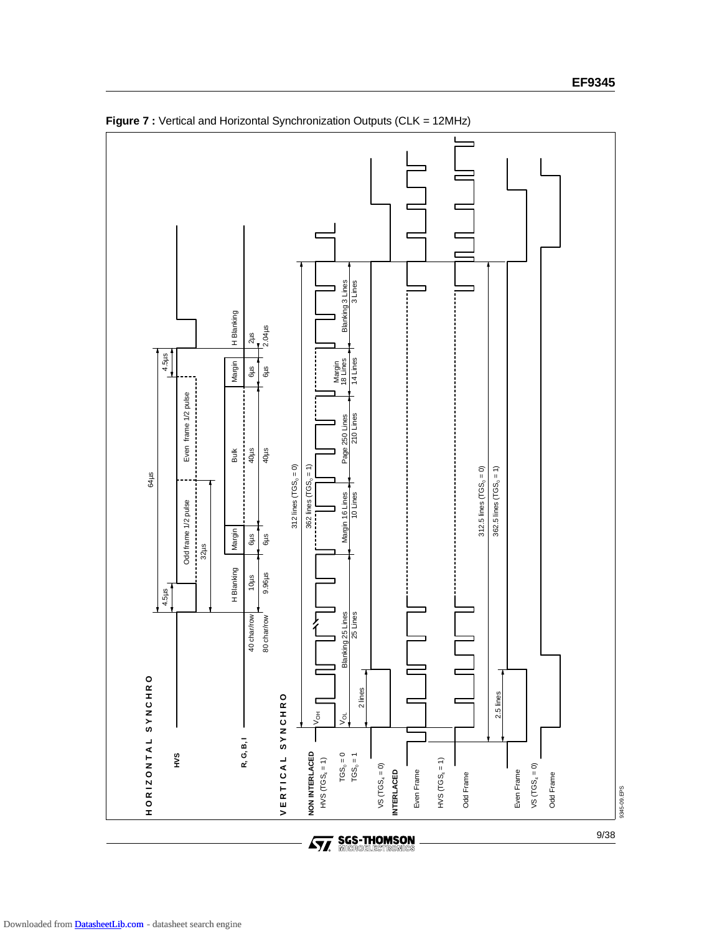

**Figure 7 :** Vertical and Horizontal Synchronization Outputs (CLK = 12MHz)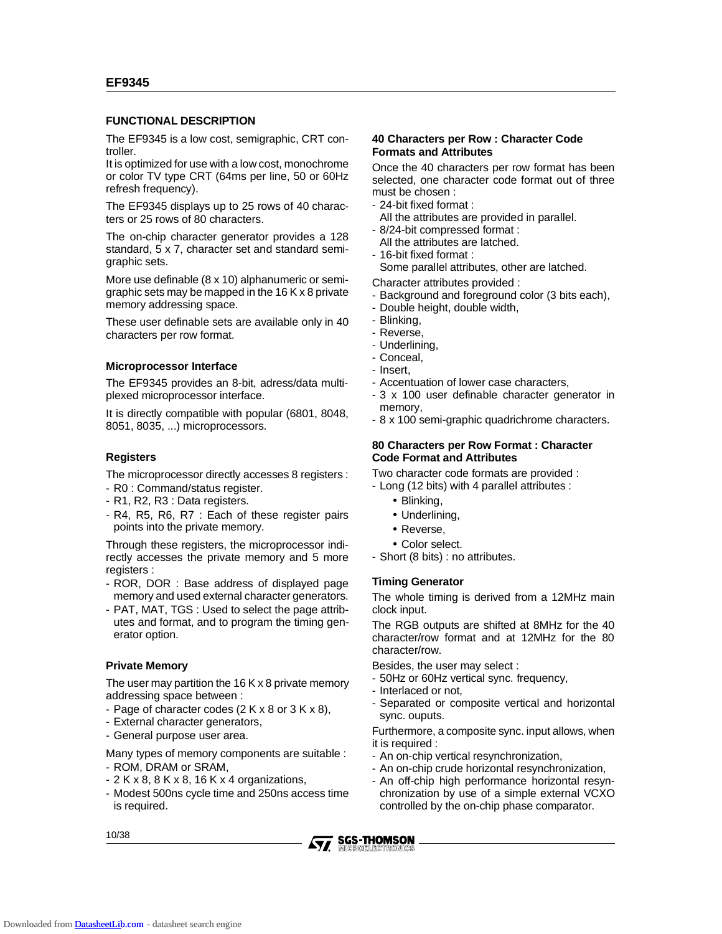### **FUNCTIONAL DESCRIPTION**

The EF9345 is a low cost, semigraphic, CRT controller.

It is optimized for use with a low cost, monochrome or color TV type CRT (64ms per line, 50 or 60Hz refresh frequency).

The EF9345 displays up to 25 rows of 40 characters or 25 rows of 80 characters.

The on-chip character generator provides a 128 standard, 5 x 7, character set and standard semigraphic sets.

More use definable (8 x 10) alphanumeric or semigraphic sets may be mapped in the 16 K x 8 private memory addressing space.

These user definable sets are available only in 40 characters per row format.

### **Microprocessor Interface**

The EF9345 provides an 8-bit, adress/data multiplexed microprocessor interface.

It is directly compatible with popular (6801, 8048, 8051, 8035, ...) microprocessors.

### **Registers**

The microprocessor directly accesses 8 registers :

- R0 : Command/status register.
- R1, R2, R3 : Data registers.
- R4, R5, R6, R7 : Each of these register pairs points into the private memory.

Through these registers, the microprocessor indirectly accesses the private memory and 5 more registers :

- ROR, DOR : Base address of displayed page memory and used external character generators.
- PAT, MAT, TGS : Used to select the page attributes and format, and to program the timing generator option.

### **Private Memory**

The user may partition the  $16$  K x 8 private memory addressing space between :

- Page of character codes (2 K x 8 or 3 K x 8),
- External character generators,
- General purpose user area.

Many types of memory components are suitable :

- ROM, DRAM or SRAM,
- $-2$  K x 8, 8 K x 8, 16 K x 4 organizations,
- Modest 500ns cycle time and 250ns access time is required.

### **40 Characters per Row : Character Code Formats and Attributes**

Once the 40 characters per row format has been selected, one character code format out of three must be chosen :

- 24-bit fixed format :
- All the attributes are provided in parallel.
- 8/24-bit compressed format :
- All the attributes are latched.
- 16-bit fixed format :

Some parallel attributes, other are latched.

Character attributes provided :

- Background and foreground color (3 bits each),
- Double height, double width,
- Blinking,
- Reverse,
- Underlining,
- Conceal,
- Insert,
- Accentuation of lower case characters,
- 3 x 100 user definable character generator in memory,
- 8 x 100 semi-graphic quadrichrome characters.

### **80 Characters per Row Format : Character Code Format and Attributes**

Two character code formats are provided :

- Long (12 bits) with 4 parallel attributes :

- Blinking,
- Underlining,
- Reverse,
- Color select.
- Short (8 bits) : no attributes.

### **Timing Generator**

The whole timing is derived from a 12MHz main clock input.

The RGB outputs are shifted at 8MHz for the 40 character/row format and at 12MHz for the 80 character/row.

Besides, the user may select :

- 50Hz or 60Hz vertical sync. frequency,
- Interlaced or not,
- Separated or composite vertical and horizontal sync. ouputs.

Furthermore, a composite sync. input allows, when it is required :

- An on-chip vertical resynchronization,
- An on-chip crude horizontal resynchronization,
- An off-chip high performance horizontal resynchronization by use of a simple external VCXO controlled by the on-chip phase comparator.

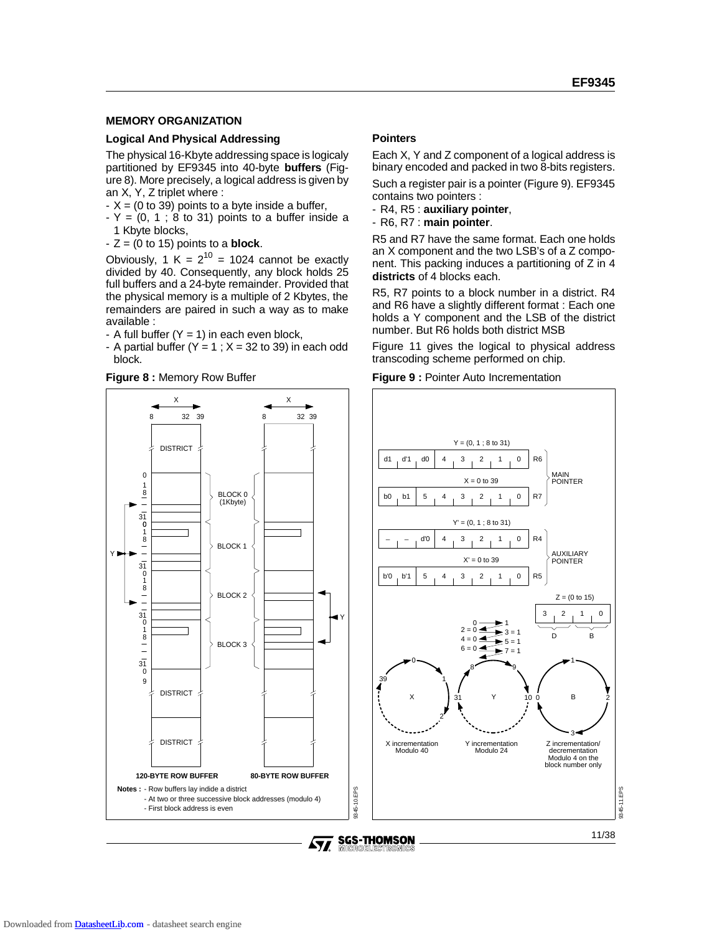### **MEMORY ORGANIZATION**

### **Logical And Physical Addressing**

The physical 16-Kbyte addressing space is logicaly partitioned by EF9345 into 40-byte **buffers** (Figure 8). More precisely, a logical address is given by an X, Y, Z triplet where :

- $-X = (0 \text{ to } 39)$  points to a byte inside a buffer,
- $-Y = (0, 1; 8$  to 31) points to a buffer inside a 1 Kbyte blocks,
- $-Z = (0 \text{ to } 15)$  points to a **block**.

Obviously, 1 K =  $2^{10}$  = 1024 cannot be exactly divided by 40. Consequently, any block holds 25 full buffers and a 24-byte remainder. Provided that the physical memory is a multiple of 2 Kbytes, the remainders are paired in such a way as to make available :

- A full buffer  $(Y = 1)$  in each even block,
- A partial buffer  $(Y = 1; X = 32$  to 39) in each odd block.

**Figure 8 :** Memory Row Buffer

X

# BLOCK 0 32 39 X

# **Pointers**

Each X, Y and Z component of a logical address is binary encoded and packed in two 8-bits registers.

Such a register pair is a pointer (Figure 9). EF9345 contains two pointers :

- R4, R5 : **auxiliary pointer**,
- R6, R7 : **main pointer**.

R5 and R7 have the same format. Each one holds an X component and the two LSB's of a Z component. This packing induces a partitioning of Z in 4 **districts** of 4 blocks each.

R5, R7 points to a block number in a district. R4 and R6 have a slightly different format : Each one holds a Y component and the LSB of the district number. But R6 holds both district MSB

Figure 11 gives the logical to physical address transcoding scheme performed on chip.





**DISTRICT** 8 39 32 32 0 8  $31$  $\Omega$ 1 31 0 8 1  $31$  $\ddot{\text{o}}$ 8 1  $31$ DISTRICT DISTRICT  $\overline{0}$ 9 (1Kbyte) BLOCK 1 BLOCK<sub>2</sub> BLOCK 3 Y **120-BYTE ROW BUFFER 80-BYTE ROW BUFFER** Notes : - Row buffers lay indide a district - At two or three successive block addresses (modulo 4) - First block address is even 8 1

11/38

9345-11.EPS

345-11.EPS

2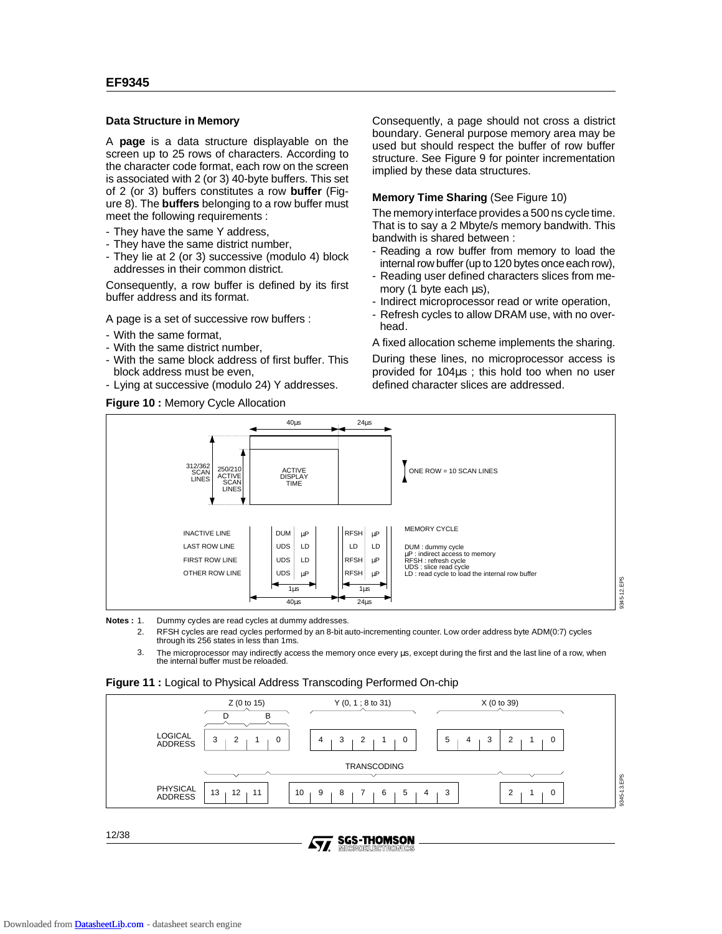### **Data Structure in Memory**

A **page** is a data structure displayable on the screen up to 25 rows of characters. According to the character code format, each row on the screen is associated with 2 (or 3) 40-byte buffers. This set of 2 (or 3) buffers constitutes a row **buffer** (Figure 8). The **buffers** belonging to a row buffer must meet the following requirements :

- They have the same Y address,
- They have the same district number,
- They lie at 2 (or 3) successive (modulo 4) block addresses in their common district.

Consequently, a row buffer is defined by its first buffer address and its format.

A page is a set of successive row buffers :

- With the same format,
- With the same district number,
- With the same block address of first buffer. This block address must be even,
- Lying at successive (modulo 24) Y addresses.

### **Figure 10 :** Memory Cycle Allocation

Consequently, a page should not cross a district boundary. General purpose memory area may be used but should respect the buffer of row buffer structure. See Figure 9 for pointer incrementation implied by these data structures.

### **Memory Time Sharing (See Figure 10)**

The memory interface provides a 500 ns cycle time. That is to say a 2 Mbyte/s memory bandwith. This bandwith is shared between :

- Reading a row buffer from memory to load the internal row buffer (up to 120 bytes once each row),
- Reading user defined characters slices from memory (1 byte each µs),
- Indirect microprocessor read or write operation,
- Refresh cycles to allow DRAM use, with no overhead.

A fixed allocation scheme implements the sharing.

During these lines, no microprocessor access is provided for 104µs ; this hold too when no user defined character slices are addressed.



**Notes :** 1. Dummy cycles are read cycles at dummy addresses.

2. RFSH cycles are read cycles performed by an 8-bit auto-incrementing counter. Low order address byte ADM(0:7) cycles through its 256 states in less than 1ms.

3. The microprocessor may indirectly access the memory once every µs, except during the first and the last line of a row, when the internal buffer must be reloaded.





12/38

**SGS-THOMSON**<br>MICROELECTRONICS AV.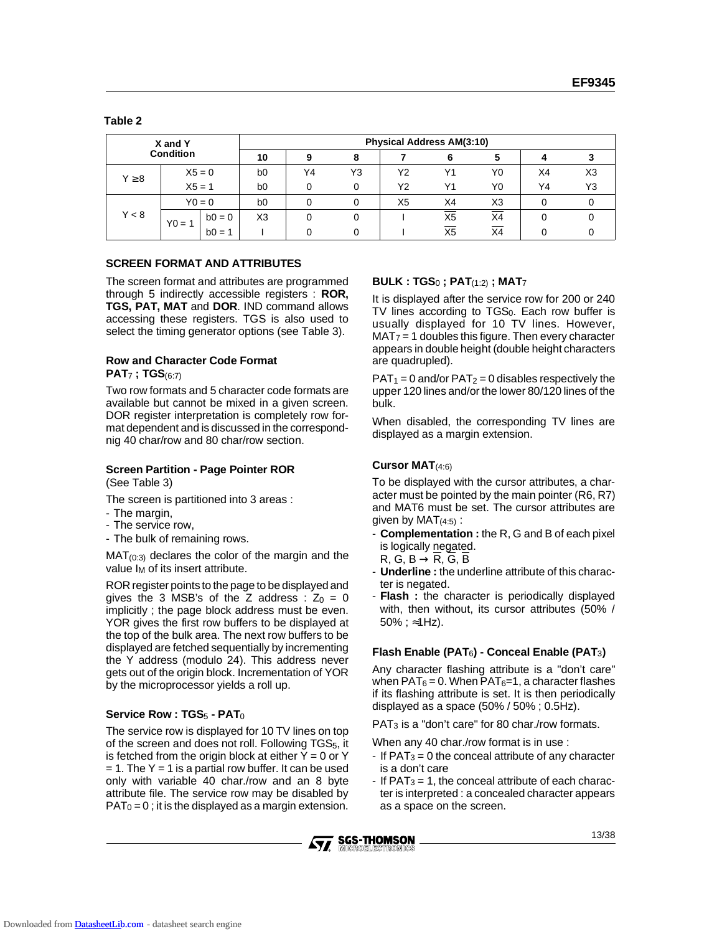| ٠ |
|---|
|---|

| X and Y          |          | <b>Physical Address AM(3:10)</b> |                |    |    |    |                |    |    |    |
|------------------|----------|----------------------------------|----------------|----|----|----|----------------|----|----|----|
| <b>Condition</b> |          |                                  | 10             | 9  | 8  |    | 6              |    |    |    |
| $Y \geq 8$       |          | $X5 = 0$                         | b <sub>0</sub> | Y4 | Y3 | Υ2 | Υ1             | Y0 | X4 | X3 |
|                  | $X5 = 1$ |                                  | b <sub>0</sub> |    | 0  | Υ2 | Υ1             | Y0 | Y4 | Y3 |
|                  |          | $Y0 = 0$                         | b <sub>0</sub> |    | 0  | X5 | X4             | X3 |    |    |
| Y < 8            | $Y0 = 1$ | $b0 = 0$                         | X <sub>3</sub> |    |    |    | X <sub>5</sub> | X4 |    |    |
|                  |          | $b0 = 1$                         |                |    |    |    | X5             | X4 |    |    |

### **SCREEN FORMAT AND ATTRIBUTES**

The screen format and attributes are programmed through 5 indirectly accessible registers : **ROR, TGS, PAT, MAT** and **DOR**. IND command allows accessing these registers. TGS is also used to select the timing generator options (see Table 3).

# **Row and Character Code Format**

### **PAT**7 **; TGS**(6:7)

Two row formats and 5 character code formats are available but cannot be mixed in a given screen. DOR register interpretation is completely row format dependent and is discussed in the correspondnig 40 char/row and 80 char/row section.

### **Screen Partition - Page Pointer ROR**

(See Table 3)

The screen is partitioned into 3 areas :

- The margin,
- The service row,
- The bulk of remaining rows.

 $MAT<sub>(0:3)</sub>$  declares the color of the margin and the value  $I_M$  of its insert attribute.

ROR register points to the page to be displayed and gives the 3 MSB's of the Z address :  $Z_0 = 0$ implicitly ; the page block address must be even. YOR gives the first row buffers to be displayed at the top of the bulk area. The next row buffers to be displayed are fetched sequentially by incrementing the Y address (modulo 24). This address never gets out of the origin block. Incrementation of YOR by the microprocessor yields a roll up.

# **Service Row : TGS**5 **- PAT**0

The service row is displayed for 10 TV lines on top of the screen and does not roll. Following  $TGS<sub>5</sub>$ , it is fetched from the origin block at either  $Y = 0$  or Y  $= 1$ . The Y  $= 1$  is a partial row buffer. It can be used only with variable 40 char./row and an 8 byte attribute file. The service row may be disabled by  $PAT<sub>0</sub> = 0$ ; it is the displayed as a margin extension.

# **BULK : TGS**0 **; PAT**(1:2) **; MAT**7

It is displayed after the service row for 200 or 240 TV lines according to  $TGS<sub>0</sub>$ . Each row buffer is usually displayed for 10 TV lines. However,  $MAT<sub>7</sub> = 1$  doubles this figure. Then every character appears in double height (double height characters are quadrupled).

 $PAT_1 = 0$  and/or  $PAT_2 = 0$  disables respectively the upper 120 lines and/or the lower 80/120 lines of the bulk.

When disabled, the corresponding TV lines are displayed as a margin extension.

# **Cursor MAT**(4:6)

To be displayed with the cursor attributes, a character must be pointed by the main pointer (R6, R7) and MAT6 must be set. The cursor attributes are given by  $\text{MAT}_{(4:5)}$ :

- **Complementation :** the R, G and B of each pixel is logically negated.
- $R, G, B \rightarrow R, G, B$
- **Underline :** the underline attribute of this character is negated.
- **Flash** : the character is periodically displayed with, then without, its cursor attributes (50% / 50% ; ≈1Hz).

### **Flash Enable (PAT**6**) - Conceal Enable (PAT**3**)**

Any character flashing attribute is a "don't care" when  $PAT_6 = 0$ . When  $PAT_6 = 1$ , a character flashes if its flashing attribute is set. It is then periodically displayed as a space (50% / 50% ; 0.5Hz).

PAT3 is a "don't care" for 80 char./row formats.

When any 40 char./row format is in use :

- If  $PAT_3 = 0$  the conceal attribute of any character is a don't care
- If  $PAT_3 = 1$ , the conceal attribute of each character is interpreted : a concealed character appears as a space on the screen.

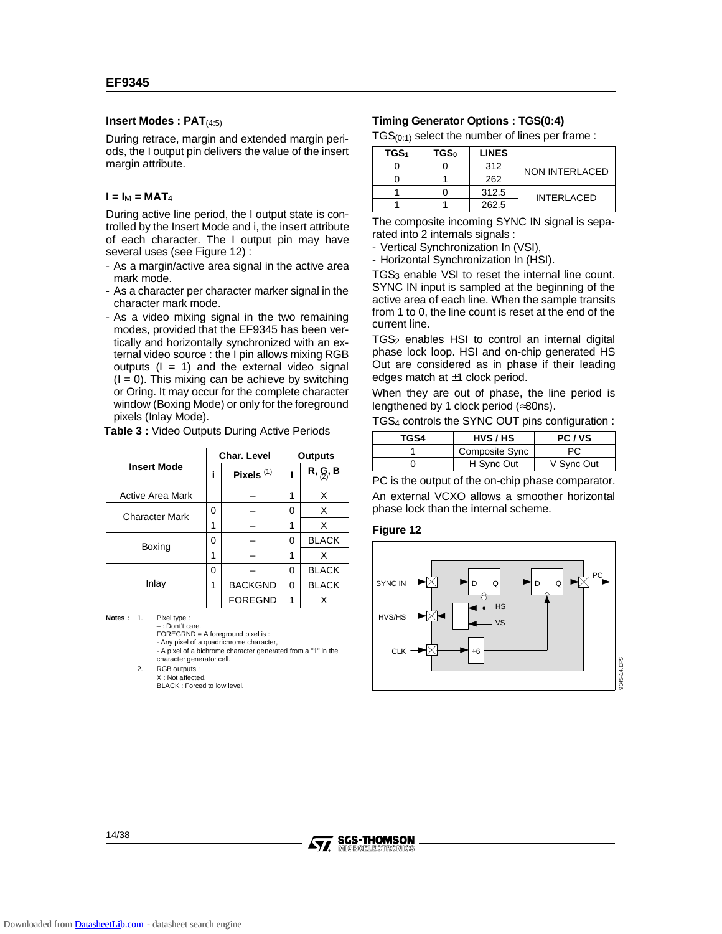### **Insert Modes : PAT**(4:5)

During retrace, margin and extended margin periods, the I output pin delivers the value of the insert margin attribute.

### $I = I_M = MAT_4$

During active line period, the I output state is controlled by the Insert Mode and i, the insert attribute of each character. The I output pin may have several uses (see Figure 12) :

- As a margin/active area signal in the active area mark mode.
- As a character per character marker signal in the character mark mode.
- As a video mixing signal in the two remaining modes, provided that the EF9345 has been vertically and horizontally synchronized with an external video source : the I pin allows mixing RGB outputs  $(I = 1)$  and the external video signal  $(I = 0)$ . This mixing can be achieve by switching or Oring. It may occur for the complete character window (Boxing Mode) or only for the foreground pixels (Inlay Mode).

**Table 3 :** Video Outputs During Active Periods

|                         |   | Char. Level    | <b>Outputs</b> |                                                           |  |
|-------------------------|---|----------------|----------------|-----------------------------------------------------------|--|
| <b>Insert Mode</b>      |   | Pixels $(1)$   |                | $R, \underset{\langle 2 \rangle}{\mathbf{G}}, \mathbf{B}$ |  |
| <b>Active Area Mark</b> |   |                | 1              | X                                                         |  |
| Character Mark          | O |                | 0              | X                                                         |  |
|                         | 1 |                | 1              | x                                                         |  |
| Boxing                  | O |                | 0              | <b>BLACK</b>                                              |  |
|                         | 1 |                | 1              | X                                                         |  |
|                         | 0 |                | 0              | <b>BLACK</b>                                              |  |
| Inlay                   | 1 | <b>BACKGND</b> | 0              | <b>BLACK</b>                                              |  |
|                         |   | <b>FOREGND</b> | 1              | x                                                         |  |

**Notes :** 1. Pixel type :

– : Dont't care. FOREGRND = A foreground pixel is : - Any pixel of a quadrichrome character, - A pixel of a bichrome character generated from a "1" in the character generator cell.

2. RGB outputs : X : Not affected.

BLACK : Forced to low level.

### **Timing Generator Options : TGS(0:4)**

 $TGS_{(0:1)}$  select the number of lines per frame :

| TGS <sub>1</sub> | TGS <sub>0</sub> | <b>LINES</b> |                    |
|------------------|------------------|--------------|--------------------|
|                  |                  | 312          | NON INTERLACED     |
|                  |                  | 262          |                    |
|                  |                  | 312.5        | <b>INTERI ACED</b> |
|                  |                  | 262.5        |                    |

The composite incoming SYNC IN signal is separated into 2 internals signals :

- Vertical Synchronization In (VSI),

- Horizontal Synchronization In (HSI).

TGS<sub>3</sub> enable VSI to reset the internal line count. SYNC IN input is sampled at the beginning of the active area of each line. When the sample transits from 1 to 0, the line count is reset at the end of the current line.

 $TGS<sub>2</sub>$  enables HSI to control an internal digital phase lock loop. HSI and on-chip generated HS Out are considered as in phase if their leading edges match at  $\pm 1$  clock period.

When they are out of phase, the line period is lengthened by 1 clock period (≈80ns).

| TGS <sub>4</sub> controls the SYNC OUT pins configuration : |  |
|-------------------------------------------------------------|--|
|-------------------------------------------------------------|--|

| TGS4 | HVS/HS         | PC/VS      |
|------|----------------|------------|
|      | Composite Sync | РC         |
|      | H Sync Out     | V Sync Out |

PC is the output of the on-chip phase comparator. An external VCXO allows a smoother horizontal phase lock than the internal scheme.

### **Figure 12**



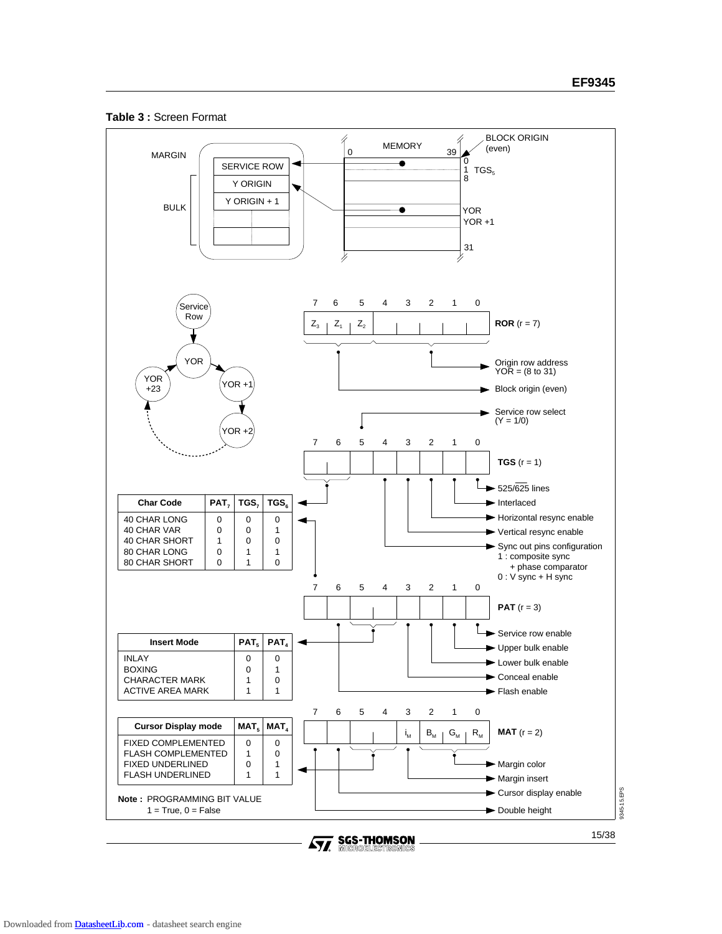



**SGS-THOMSON**<br>MICROELECTROMICS  $\sqrt{M}$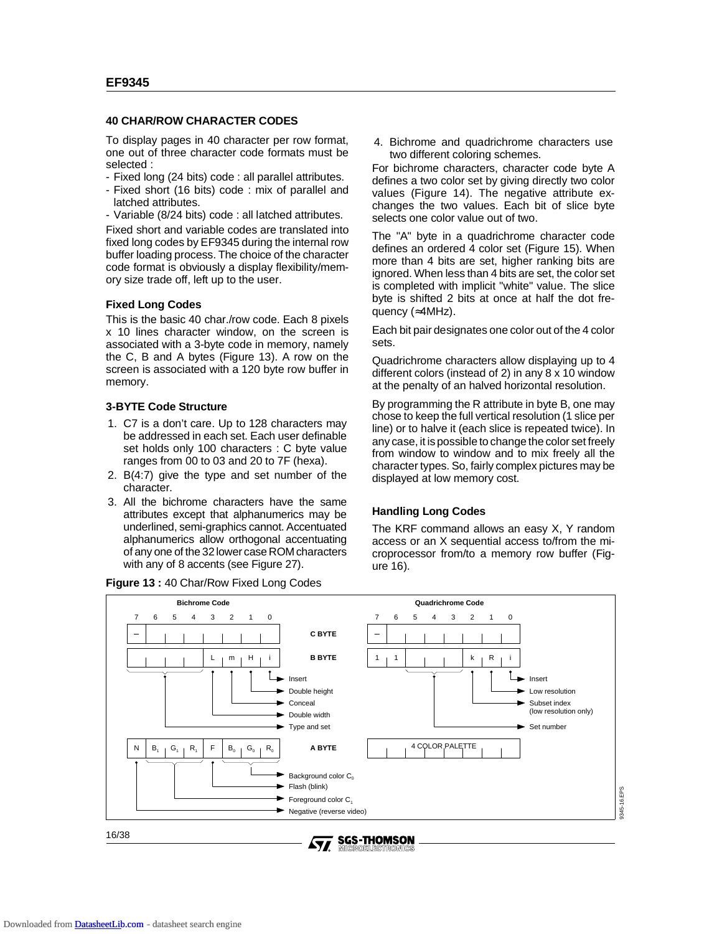### **40 CHAR/ROW CHARACTER CODES**

To display pages in 40 character per row format, one out of three character code formats must be selected :

- Fixed long (24 bits) code : all parallel attributes.
- Fixed short (16 bits) code : mix of parallel and latched attributes.
- Variable (8/24 bits) code : all latched attributes.

Fixed short and variable codes are translated into fixed long codes by EF9345 during the internal row buffer loading process. The choice of the character code format is obviously a display flexibility/memory size trade off, left up to the user.

### **Fixed Long Codes**

This is the basic 40 char./row code. Each 8 pixels x 10 lines character window, on the screen is associated with a 3-byte code in memory, namely the C, B and A bytes (Figure 13). A row on the screen is associated with a 120 byte row buffer in memory.

### **3-BYTE Code Structure**

- 1. C7 is a don't care. Up to 128 characters may be addressed in each set. Each user definable set holds only 100 characters : C byte value ranges from 00 to 03 and 20 to 7F (hexa).
- 2. B(4:7) give the type and set number of the character.
- 3. All the bichrome characters have the same attributes except that alphanumerics may be underlined, semi-graphics cannot. Accentuated alphanumerics allow orthogonal accentuating of any one of the 32 lower case ROM characters with any of 8 accents (see Figure 27).



4. Bichrome and quadrichrome characters use two different coloring schemes.

For bichrome characters, character code byte A defines a two color set by giving directly two color values (Figure 14). The negative attribute exchanges the two values. Each bit of slice byte selects one color value out of two.

The "A" byte in a quadrichrome character code defines an ordered 4 color set (Figure 15). When more than 4 bits are set, higher ranking bits are ignored. When less than 4 bits are set, the color set is completed with implicit "white" value. The slice byte is shifted 2 bits at once at half the dot frequency (≈4MHz).

Each bit pair designates one color out of the 4 color sets.

Quadrichrome characters allow displaying up to 4 different colors (instead of 2) in any 8 x 10 window at the penalty of an halved horizontal resolution.

By programming the R attribute in byte B, one may chose to keep the full vertical resolution (1 slice per line) or to halve it (each slice is repeated twice). In any case, it is possible to change the color set freely from window to window and to mix freely all the character types. So, fairly complex pictures may be displayed at low memory cost.

### **Handling Long Codes**

The KRF command allows an easy X, Y random access or an X sequential access to/from the microprocessor from/to a memory row buffer (Figure 16).

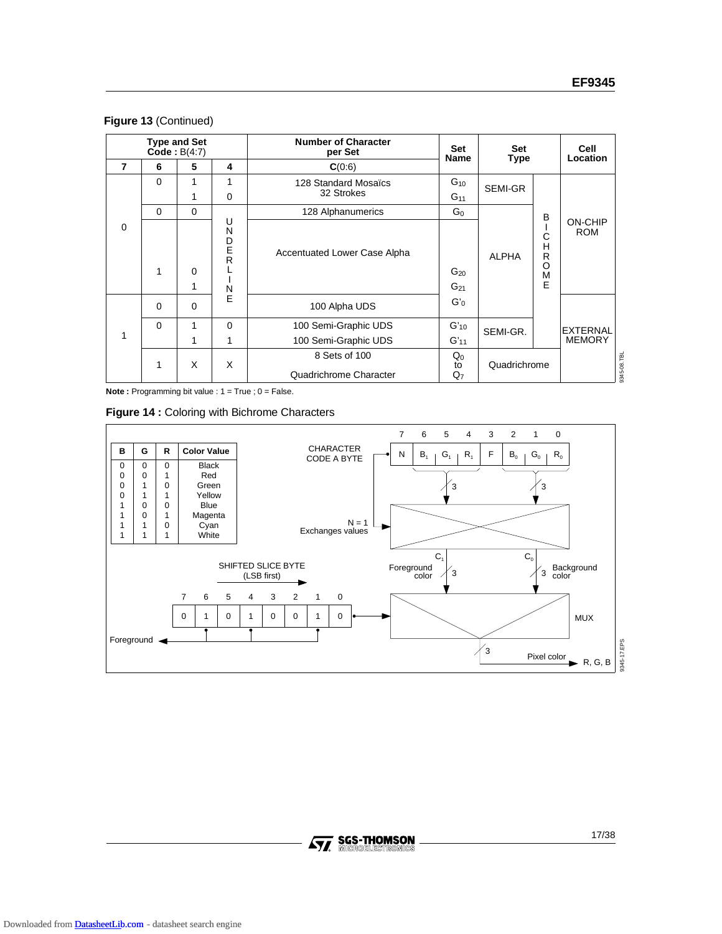|  | Figure 13 (Continued) |
|--|-----------------------|
|  |                       |

|          |          | <b>Type and Set</b><br>$\text{Code}: B(4:7)$ |                            | <b>Number of Character</b><br>per Set | <b>Set</b><br><b>Name</b> | Set<br><b>Type</b> |                                       | Cell<br>Location             |             |
|----------|----------|----------------------------------------------|----------------------------|---------------------------------------|---------------------------|--------------------|---------------------------------------|------------------------------|-------------|
| 7        | 6        | 5                                            | 4                          | C(0.6)                                |                           |                    |                                       |                              |             |
|          | $\Omega$ | 1                                            | 1                          | 128 Standard Mosaïcs                  | $G_{10}$                  | SEMI-GR            |                                       |                              |             |
|          |          | 1                                            | $\Omega$                   | 32 Strokes                            | $G_{11}$                  |                    |                                       |                              |             |
|          | $\Omega$ | $\Omega$                                     |                            | 128 Alphanumerics                     | G <sub>0</sub>            |                    | B                                     |                              |             |
| $\Omega$ | 1        | $\Omega$<br>1                                | U<br>N<br>D<br>E<br>R<br>N | <b>Accentuated Lower Case Alpha</b>   | $G_{20}$<br>$G_{21}$      | <b>ALPHA</b>       | Ć<br>H<br>$\mathsf{R}$<br>O<br>M<br>E | <b>ON-CHIP</b><br><b>ROM</b> |             |
|          | 0        | $\mathbf 0$                                  | F                          | 100 Alpha UDS                         | $G'_0$                    |                    |                                       |                              |             |
|          | $\Omega$ | 1                                            | $\Omega$                   | 100 Semi-Graphic UDS                  | $G'_{10}$                 | SEMI-GR.           |                                       | <b>EXTERNAL</b>              |             |
| 1        |          | 1                                            | $\mathbf{1}$               | 100 Semi-Graphic UDS                  | $G'_{11}$                 |                    |                                       | <b>MEMORY</b>                |             |
|          |          |                                              |                            | 8 Sets of 100                         | $Q_0$                     |                    |                                       |                              |             |
|          | 1        | X                                            | X                          | Quadrichrome Character                | to<br>$Q_7$               | Quadrichrome       |                                       |                              | 9345-08.TBL |

**Note :** Programming bit value : 1 = True ; 0 = False.

|  |  |  |  |  | Figure 14 : Coloring with Bichrome Characters |
|--|--|--|--|--|-----------------------------------------------|
|--|--|--|--|--|-----------------------------------------------|

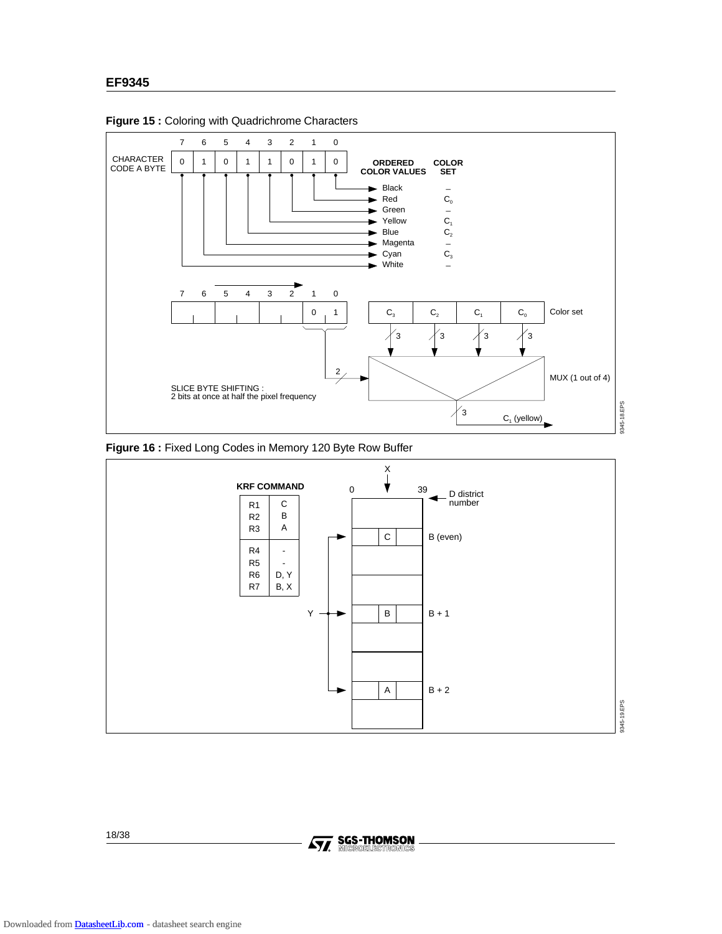

**Figure 15 :** Coloring with Quadrichrome Characters





18/38

**Ay, SGS-THOMSON**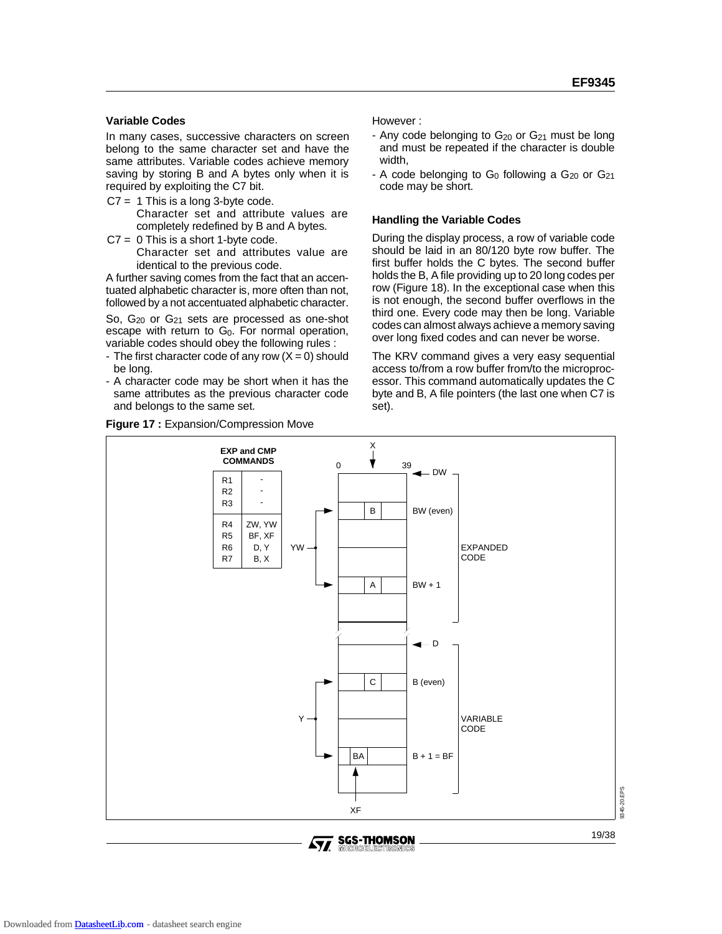### **Variable Codes**

In many cases, successive characters on screen belong to the same character set and have the same attributes. Variable codes achieve memory saving by storing B and A bytes only when it is required by exploiting the C7 bit.

- $C7 = 1$  This is a long 3-byte code. Character set and attribute values are completely redefined by B and A bytes.
- $C7 = 0$  This is a short 1-byte code. Character set and attributes value are identical to the previous code.

A further saving comes from the fact that an accentuated alphabetic character is, more often than not, followed by a not accentuated alphabetic character.

So, G<sub>20</sub> or G<sub>21</sub> sets are processed as one-shot escape with return to G<sub>0</sub>. For normal operation, variable codes should obey the following rules :

- The first character code of any row  $(X = 0)$  should be long.
- A character code may be short when it has the same attributes as the previous character code and belongs to the same set.

### **Figure 17 :** Expansion/Compression Move

However :

- Any code belonging to  $G_{20}$  or  $G_{21}$  must be long and must be repeated if the character is double width,
- A code belonging to  $G_0$  following a  $G_{20}$  or  $G_{21}$ code may be short.

### **Handling the Variable Codes**

During the display process, a row of variable code should be laid in an 80/120 byte row buffer. The first buffer holds the C bytes. The second buffer holds the B, A file providing up to 20 long codes per row (Figure 18). In the exceptional case when this is not enough, the second buffer overflows in the third one. Every code may then be long. Variable codes can almost always achieve a memory saving over long fixed codes and can never be worse.

The KRV command gives a very easy sequential access to/from a row buffer from/to the microprocessor. This command automatically updates the C byte and B, A file pointers (the last one when C7 is set).

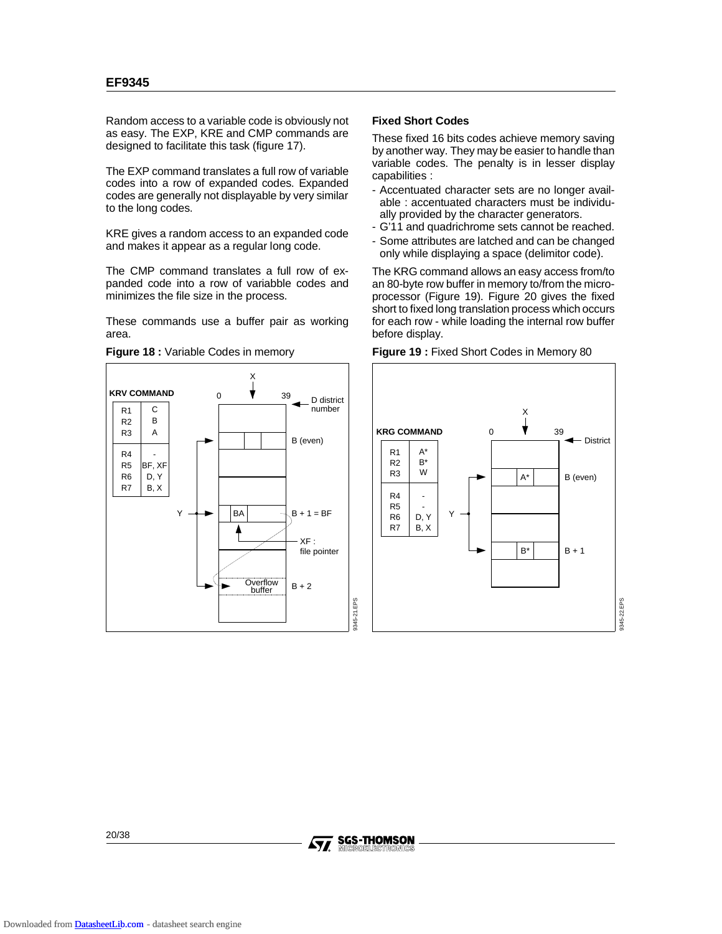Random access to a variable code is obviously not as easy. The EXP, KRE and CMP commands are designed to facilitate this task (figure 17).

The EXP command translates a full row of variable codes into a row of expanded codes. Expanded codes are generally not displayable by very similar to the long codes.

KRE gives a random access to an expanded code and makes it appear as a regular long code.

The CMP command translates a full row of expanded code into a row of variabble codes and minimizes the file size in the process.

These commands use a buffer pair as working area.



**Figure 18 :** Variable Codes in memory

### **Fixed Short Codes**

These fixed 16 bits codes achieve memory saving by another way. They may be easier to handle than variable codes. The penalty is in lesser display capabilities :

- Accentuated character sets are no longer available : accentuated characters must be individually provided by the character generators.
- G'11 and quadrichrome sets cannot be reached.
- Some attributes are latched and can be changed only while displaying a space (delimitor code).

The KRG command allows an easy access from/to an 80-byte row buffer in memory to/from the microprocessor (Figure 19). Figure 20 gives the fixed short to fixed long translation process which occurs for each row - while loading the internal row buffer before display.



9345-22.EPS

**Figure 19 :** Fixed Short Codes in Memory 80

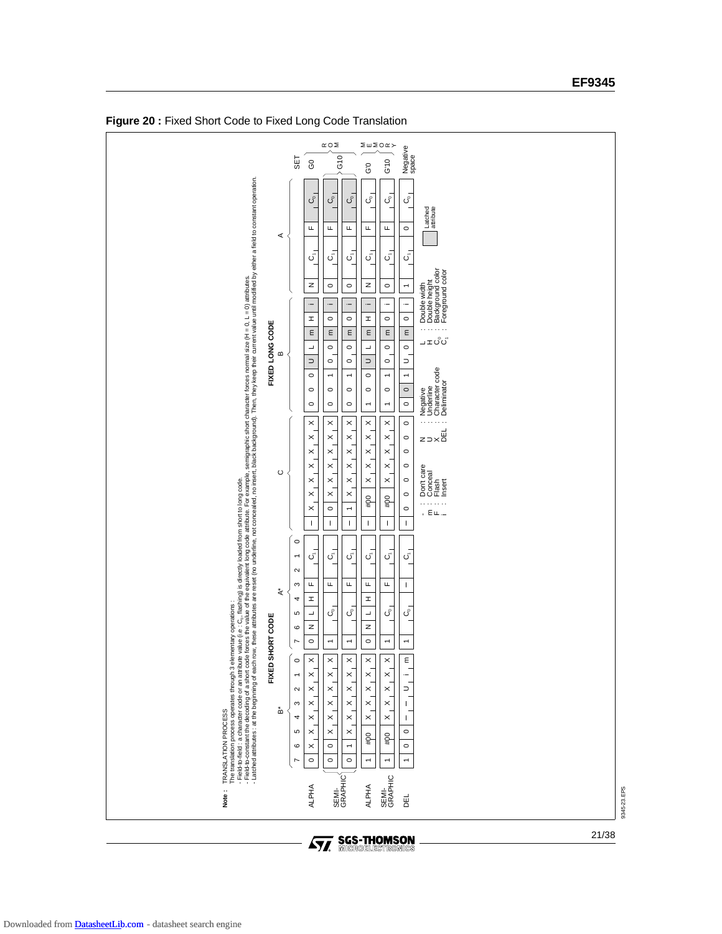

**Figure 20 :** Fixed Short Code to Fixed Long Code Translation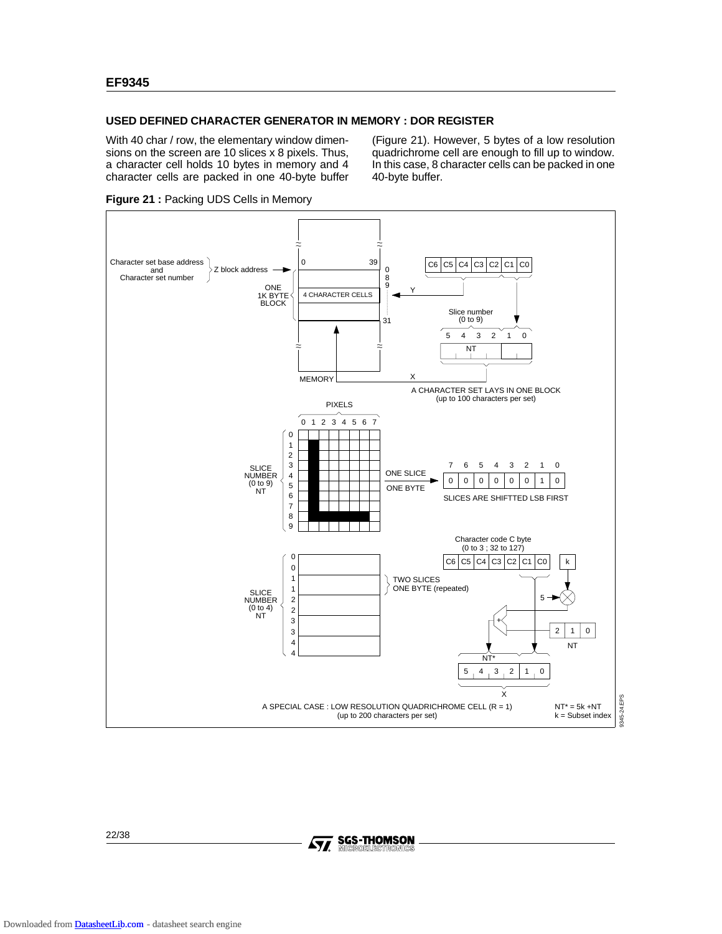### **USED DEFINED CHARACTER GENERATOR IN MEMORY : DOR REGISTER**

With 40 char / row, the elementary window dimensions on the screen are 10 slices x 8 pixels. Thus, a character cell holds 10 bytes in memory and 4 character cells are packed in one 40-byte buffer

(Figure 21). However, 5 bytes of a low resolution quadrichrome cell are enough to fill up to window. In this case, 8 character cells can be packed in one 40-byte buffer.



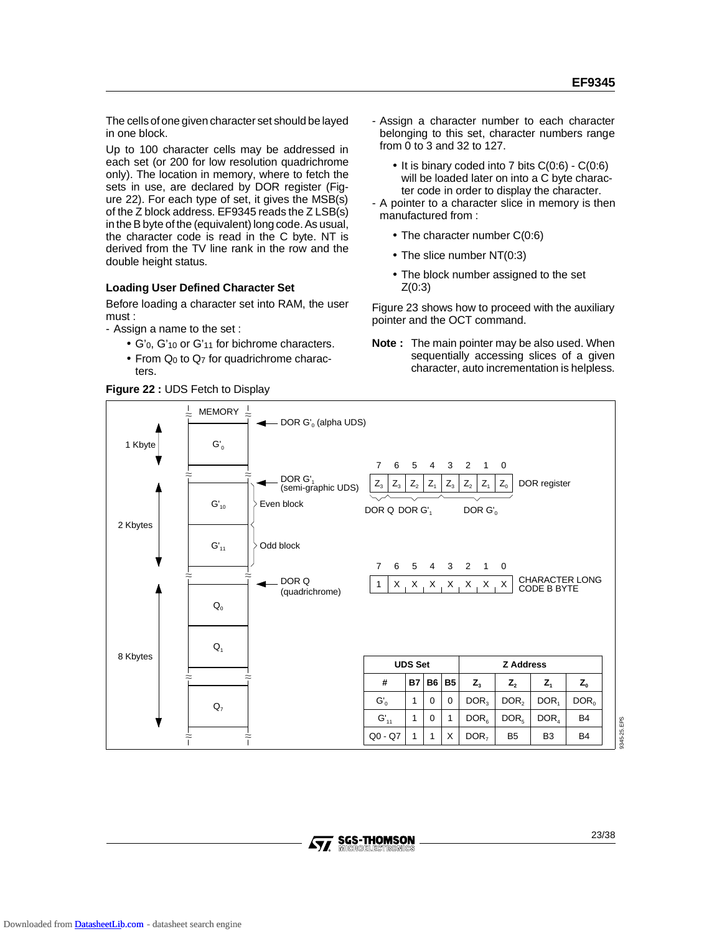The cells of one given character set should be layed in one block.

Up to 100 character cells may be addressed in each set (or 200 for low resolution quadrichrome only). The location in memory, where to fetch the sets in use, are declared by DOR register (Figure 22). For each type of set, it gives the MSB(s) of the Z block address. EF9345 reads the Z LSB(s) in the B byte of the (equivalent) long code. As usual, the character code is read in the C byte. NT is derived from the TV line rank in the row and the double height status.

### **Loading User Defined Character Set**

Before loading a character set into RAM, the user must :

- Assign a name to the set :

- G'0, G'10 or G'11 for bichrome characters.
- From  $Q_0$  to  $Q_7$  for quadrichrome characters.

**Figure 22 :** UDS Fetch to Display

- Assign a character number to each character belonging to this set, character numbers range from 0 to 3 and 32 to 127.
	- It is binary coded into 7 bits C(0:6) C(0:6) will be loaded later on into a C byte character code in order to display the character.
- A pointer to a character slice in memory is then manufactured from :
	- The character number C(0:6)
	- The slice number NT(0:3)
	- The block number assigned to the set  $Z(0:3)$

Figure 23 shows how to proceed with the auxiliary pointer and the OCT command.

**Note :** The main pointer may be also used. When sequentially accessing slices of a given character, auto incrementation is helpless.



345-25.EPS 9345-25.EPS

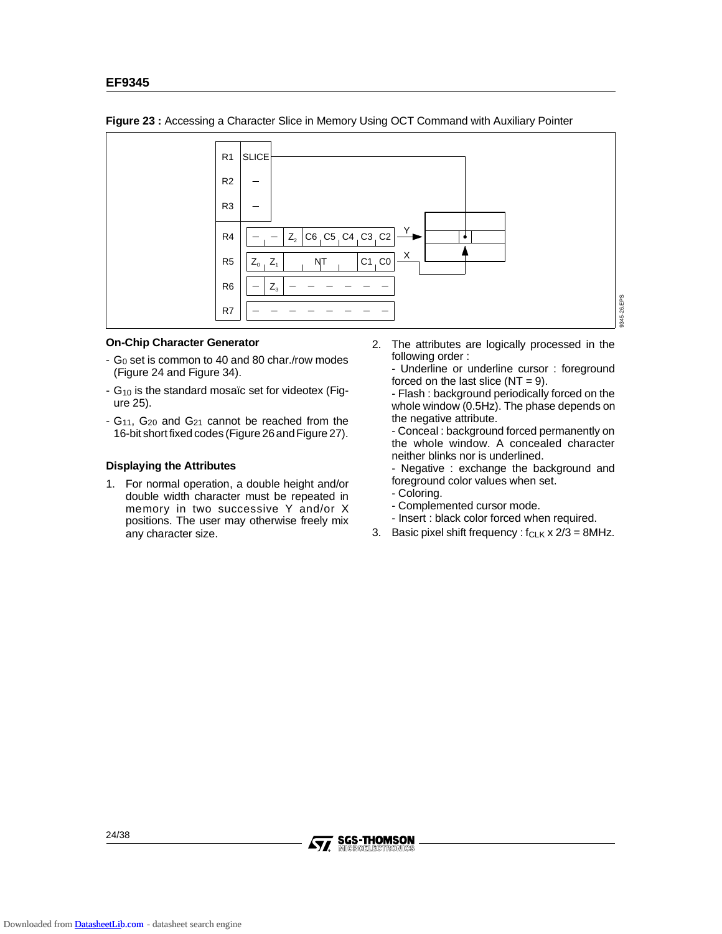

**Figure 23 :** Accessing a Character Slice in Memory Using OCT Command with Auxiliary Pointer

### **On-Chip Character Generator**

- G0 set is common to 40 and 80 char./row modes (Figure 24 and Figure 34).
- G10 is the standard mosaïc set for videotex (Figure 25).
- G11, G20 and G21 cannot be reached from the 16-bit short fixed codes (Figure 26 and Figure 27).

### **Displaying the Attributes**

1. For normal operation, a double height and/or double width character must be repeated in memory in two successive Y and/or X positions. The user may otherwise freely mix any character size.

2. The attributes are logically processed in the following order :

- Underline or underline cursor : foreground forced on the last slice  $(NT = 9)$ .

- Flash : background periodically forced on the whole window (0.5Hz). The phase depends on the negative attribute.

- Conceal : background forced permanently on the whole window. A concealed character neither blinks nor is underlined.

- Negative : exchange the background and foreground color values when set.

- Coloring.
- Complemented cursor mode.
- Insert : black color forced when required.
- 3. Basic pixel shift frequency :  $f_{CLK}$  x  $2/3 = 8$ MHz.

24/38

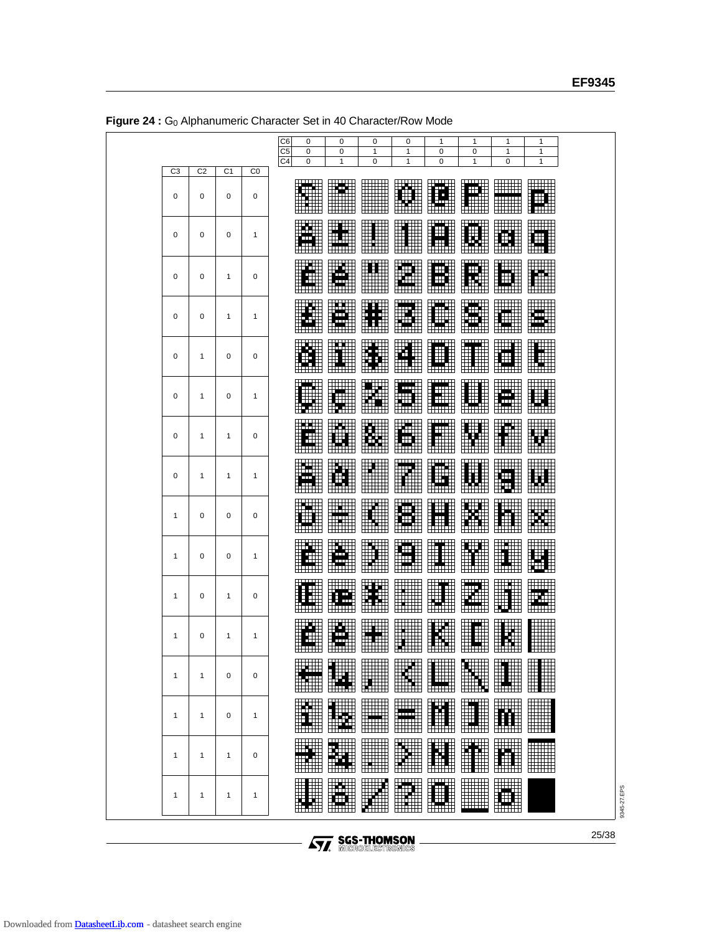|                |                |                |              | C <sub>6</sub><br>0<br>C <sub>5</sub><br>$\mathbf 0$ | 0<br>$\mathbf 0$                                           | 0<br>$\mathbf{1}$ | 0<br>1                  | 1<br>$\mathbf 0$                             | 1<br>0                                     | 1<br>$\mathbf{1}$                       | 1<br>$\mathbf{1}$                                                                                              |  |
|----------------|----------------|----------------|--------------|------------------------------------------------------|------------------------------------------------------------|-------------------|-------------------------|----------------------------------------------|--------------------------------------------|-----------------------------------------|----------------------------------------------------------------------------------------------------------------|--|
| C <sub>3</sub> | C <sub>2</sub> | C <sub>1</sub> | $_{\rm CO}$  | C <sub>4</sub><br>$\mathbf 0$                        | 1                                                          | 0                 | $\mathbf{1}$            | 0                                            | 1                                          | $\mathbf 0$                             | $\mathbf{1}$                                                                                                   |  |
| 0              | 0              | 0              | 0            |                                                      | œ.                                                         | <b>HANG</b>       | W<br>W                  | .<br>F<br>╥<br>₩                             | الانتقالات<br>Ø<br><b>Lette</b>            | HHH<br>H                                | Hitti<br>Ħ                                                                                                     |  |
| 0              | 0              | 0              | $\mathbf{1}$ | Δ<br>TП                                              | 1991<br> 110  <br> 1111                                    | <b>THE</b>        |                         | <b>TWT</b><br>⊞<br>H<br>WW                   | <u> 1944-195</u><br>I                      | $\frac{1}{2}$<br>D<br>tiniti            | I<br>电电阻                                                                                                       |  |
| 0              | 0              | $\mathbf{1}$   | 0            | ш<br>H<br>الاستناء                                   | p.<br>$\frac{1}{2}$<br><b>itali</b>                        |                   | pose<br>Pode            | TTTTTTTTTTT <i>T</i><br>ÆÏ<br>ŦŦ<br>الانتتال | <b>HITHE</b><br>Œ<br>∓<br>邸<br><b>HHHH</b> | <b>THE</b><br>$\boxplus$<br><b>TEXE</b> | <b>MAR</b>                                                                                                     |  |
| 0              | 0              | $\mathbf{1}$   | $\mathbf{1}$ | W<br>H                                               | pop<br>Peda                                                | ET                | ECO                     | Œ<br>W                                       | m<br>m<br>HTT.                             | <b>HAIR</b><br>i ali                    | E                                                                                                              |  |
| $\mathbf 0$    | $\mathbf{1}$   | $\mathbf 0$    | 0            | التبا<br>لأشتانا                                     | <b>BAN</b>                                                 | WW                | WW<br>MA                | فتست                                         | W<br><u>Milli</u>                          | E<br>Œ<br>timit                         |                                                                                                                |  |
| 0              | 1              | 0              | 1            | سست                                                  | WWW                                                        | H.                | ilinii<br>Muua          | mт<br>$\mathbf{H}$<br>ŦĦ.<br>للسنا           | pan<br><b>HALL</b>                         | <b>THE REAL</b><br>ŒТ<br>Ŧ<br>HAII      | <b>TILL</b>                                                                                                    |  |
| 0              | 1              | $\mathbf{1}$   | 0            | <u> Here i</u><br>Е                                  | pop<br>Proj                                                | B<br>HALL         | 11111<br>10111<br>10111 | TTTTTTTT<br>H                                | <b>WEBSTER</b><br>H                        |                                         | W                                                                                                              |  |
| 0              | 1              | $\mathbf{1}$   | 1            | т                                                    | <b>BUN</b>                                                 | <b>BAN</b>        | <u>ын н</u><br>E        | Ш<br><b>HTTLE</b>                            | H                                          | ĦН<br>₩.                                |                                                                                                                |  |
| 1              | 0              | 0              | 0            | ihnili                                               | <b>BAN</b>                                                 | <b>HERE</b>       | ببيسي<br>Es             | ⊞<br>$\pm$<br>ᄈ                              | Ŧ<br>B<br>T<br>Ħ                           | <b>TEE</b><br>  HEE<br>  HEEE           |                                                                                                                |  |
| 1              | 0              | 0              | 1            | $\overline{\phantom{a}}$<br>H<br>$\overline{1}$      | A.H<br><u>pan</u>                                          | E                 | <b>TER</b>              | ┅<br>Ŧ<br><b>HTTHE</b>                       | W<br><b>HHHH</b>                           | 購<br><u>HE</u>                          | pose                                                                                                           |  |
| $\mathbf{1}$   | 0              | $\mathbf{1}$   | 0            | $\pm \pm \pm \pm$                                    | Æ<br>HTTT I                                                | <b>BUE</b>        | <b>HANG</b>             | <u> Halli</u>                                | H<br>H H                                   | H<br>王甫                                 | ┅┅<br>E                                                                                                        |  |
| 1              | 0              | $\mathbf{1}$   | 1            | m<br>Ŧ<br>Ŧ<br>الاستنا                               | ĕ,<br>$\frac{1}{\sqrt{2}}$<br>H<br>$\overline{\mathbf{H}}$ |                   | <b>BULLER</b>           | W                                            | Æ<br>⊞⊞                                    | <b>SE</b>                               |                                                                                                                |  |
| 1              | 1              | $\mathbf 0$    | 0            |                                                      | an an                                                      | <u>Han</u>        | M<br>ШШ                 | ₩.<br>لتست                                   | <u>matan s</u>                             | <u> HHHHH</u>                           |                                                                                                                |  |
| 1              | $\mathbf{1}$   | 0              | $\mathbf{1}$ | B                                                    | W<br><del>mm</del>                                         |                   | ann<br>Loch             | m<br><del>.</del>                            | H<br><b>WAR</b>                            | <b>Fill</b><br><del></del>              | en de la population de la population de la population de la population de la population de la population de la |  |
| 1              | 1              | $\mathbf{1}$   | 0            | WW                                                   | <b>WEIGHT</b>                                              |                   | BUIL                    | $\frac{1}{1}$<br>H                           | B                                          | <b>TAR</b><br>甫                         | <b>Hill</b>                                                                                                    |  |
| 1              | 1              | $\mathbf{1}$   | 1            | E<br>WW                                              | WW<br><u>Haribi</u>                                        |                   |                         | m<br>$\ddagger$<br>Hindi                     | <b>Billi</b>                               | <b>Tilli</b><br>⊞                       |                                                                                                                |  |

**Figure 24 :** G0 Alphanumeric Character Set in 40 Character/Row Mode

**Ay, SGS-THOMSON**<br>MICROELECTRONICS

9345-27.EPS

9345-27.EPS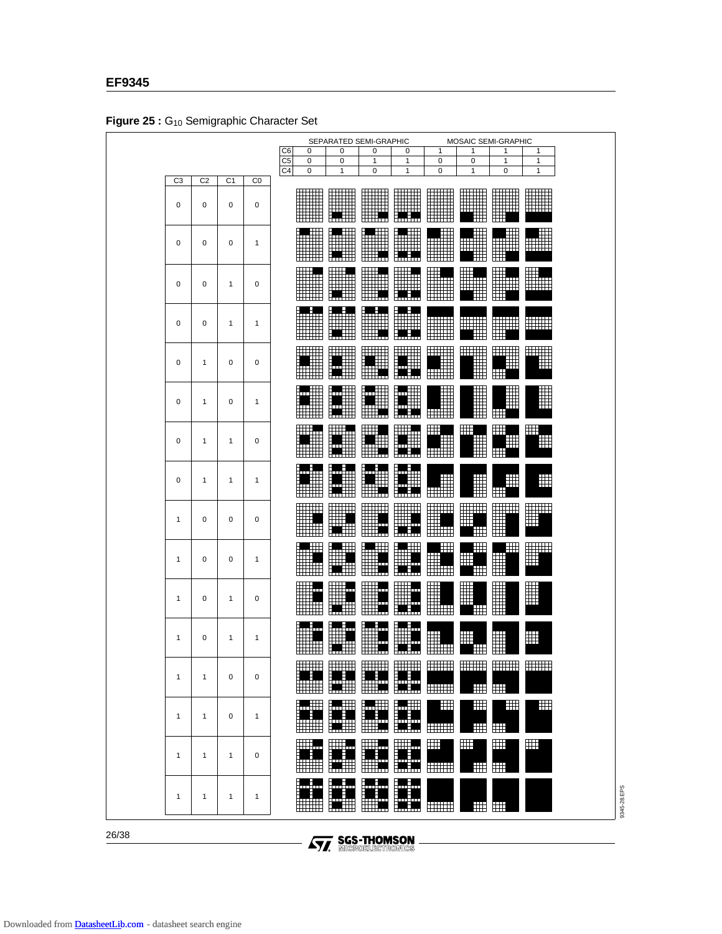|                |              |                |                |                                  | Figure 29 . Giv Semigraphic Character Set | SEPARATED SEMI-GRAPHIC     |                                   |                                                                                               |                               |                              | MOSAIC SEMI-GRAPHIC                   |                       |  |  |
|----------------|--------------|----------------|----------------|----------------------------------|-------------------------------------------|----------------------------|-----------------------------------|-----------------------------------------------------------------------------------------------|-------------------------------|------------------------------|---------------------------------------|-----------------------|--|--|
|                |              |                |                | C <sub>6</sub>                   | 0<br>0<br>0<br>1<br>1<br>0<br>1<br>1      |                            |                                   |                                                                                               |                               |                              |                                       |                       |  |  |
|                |              |                |                | C <sub>5</sub><br>C <sub>4</sub> | 0<br>0                                    | 0<br>1                     | 1<br>0                            | $\mathbf{1}$<br>1                                                                             | 0<br>0                        | 0<br>1                       | 1<br>0                                | 1<br>1                |  |  |
| C <sub>3</sub> | C2           | C <sub>1</sub> | C <sub>0</sub> |                                  |                                           |                            |                                   |                                                                                               |                               |                              |                                       |                       |  |  |
| 0              | 0            | 0              | 0              |                                  | <b>Alian</b>                              |                            |                                   | سسه                                                                                           |                               |                              | <b>HANGER</b><br>$\blacksquare$       | <b>Tilli</b>          |  |  |
| 0              | $\mathbf 0$  | $\mathbf 0$    | $\mathbf{1}$   |                                  | <b>MARK</b><br><b>HIIII</b>               | <b>WE</b>                  |                                   | <b>WAN</b><br>سنسن                                                                            |                               | eill                         | <b>ANTI</b><br>▦                      | ₩                     |  |  |
| 0              | 0            | 1              | 0              |                                  | W                                         | <b>Hill</b>                | <b>MA</b>                         | W                                                                                             | W.<br>William                 |                              | H<br>H                                | ₩.<br>سىنا            |  |  |
| 0              | 0            | 1              | 1              |                                  | erna<br>Hill                              | <b>PAN</b>                 | <b>M</b><br>MA                    | L. H.<br>WW<br><b>EXEMPT</b>                                                                  | <b>HERR</b>                   | <b>THEFT THEFT</b><br>Willi  | WWW<br>⊞⊞                             | <b>HILLE</b>          |  |  |
| $\mathbf 0$    | 1            | 0              | 0              |                                  | <b>WWW</b>                                |                            | <b>MANA</b>                       | pod poznatela poznatela poznatela poznatela pozzi<br><b>HELL</b>                              |                               |                              | <u>WWW</u><br>▦                       | iliji<br>M            |  |  |
| $\mathbf 0$    | 1            | 0              | $\mathbf{1}$   |                                  | W                                         | <b>MII</b><br>MII<br>MII   | Fi                                | ∰<br>┯┯<br>m<br>ومناصبانا                                                                     |                               | <u>Mana</u>                  | W<br>⊞                                | H                     |  |  |
| $\mathbf 0$    | $\mathbf{1}$ | $\mathbf{1}$   | $\mathbf 0$    |                                  | I                                         |                            |                                   | W                                                                                             | $\boxplus$<br><b>Milli</b>    | ₩<br>H                       | ▦<br>$\boxplus$                       | ⊞                     |  |  |
| 0              | 1            | 1              | $\mathbf{1}$   |                                  | imili                                     | <b>M</b><br>Mili           | Ш<br><b>THE R</b>                 | ⊞<br>m<br><b>The Sec</b>                                                                      | <b>A</b>                      | 9                            | ▦                                     | $\pm$                 |  |  |
| 1              | 0            | 0              | 0              |                                  | <b>HITEL</b><br>ⅢⅢ                        | <b>MAR</b><br>H            |                                   | <b>Till</b><br>H.                                                                             |                               | <b>THE SEA</b><br>$\boxplus$ | HILL<br>H                             | <b>Alian</b>          |  |  |
| 1              | 0            | 0              | $\mathbf{1}$   |                                  | $\blacksquare$                            | ╙<br>H                     | <b>A</b><br><u>HHM</u>            | <u>imm</u>                                                                                    | Ħ<br><b>HEMI</b>              | $\Box$<br>用<br>Ħ             | $\blacksquare$<br>$\blacksquare$<br>₩ | <b>HELL</b>           |  |  |
| 1              | 0            | $\mathbf{1}$   | $\mathbf 0$    |                                  | all C<br>▦<br><b>HHHH</b>                 | W.                         | W.                                | EU.                                                                                           | W<br>Ww                       | H<br>$\blacksquare$          |                                       | H                     |  |  |
| $\mathbf{1}$   | 0            | 1              | 1              |                                  | W<br>HHH                                  | <b>W</b>                   | <b>inis</b>                       | m                                                                                             | ⊞<br>Hillin                   | $\boxplus$<br>Œ              | H<br>لملطا المطمل                     | $\mathop{\Downarrow}$ |  |  |
| $\mathbf{1}$   | $\mathbf{1}$ | 0              | 0              |                                  | popu<br>ᄈ                                 | <b>HELLE</b><br>H          | $\overline{1}$<br>m<br><b>THE</b> | <b>THEFT</b><br><b>THE REA</b>                                                                | <b>HERRI</b><br><b>THEFT</b>  | <b>HELLER</b><br>⊞           | <b>HHHH</b><br>$\blacksquare$         | <b>HELL</b>           |  |  |
| $\mathbf{1}$   | 1            | $\mathbf 0$    | $\mathbf{1}$   |                                  | <b>THE</b>                                | LUE<br>H                   | <u> a Wi</u><br>₩₩                | <b>ATT</b><br>ta in                                                                           | $\blacksquare$<br><b>HELL</b> | $\pm$<br>⊞                   | $\pm$<br>$\blacksquare$               | $\pm$                 |  |  |
| $\mathbf{1}$   | $\mathbf{1}$ | $\mathbf{1}$   | 0              |                                  | HU.<br><b>HHHH</b>                        | M                          | HH.,<br><u>titik a</u>            | ╫╫╇<br>سنطينا                                                                                 | $\boxplus$<br><b>HHHH</b>     | $\mathbb{H}$<br>₩            | $\blacksquare$<br>$\blacksquare$      | Ħ                     |  |  |
| $\mathbf{1}$   | 1            | $\mathbf{1}$   | 1              |                                  | łц.                                       | <u> j.</u><br><u> KANA</u> | ▦<br>m                            | artistik kanal politik kanal sebagai pada tahun 1979.<br>Pada tahun 1979.<br>Pada tahun 1979. | <b>HHH</b>                    | Ħ                            | $\blacksquare$                        |                       |  |  |

**Figure 25 :** G10 Semigraphic Character Set

26/38

**Formal SGS-THOMSON**<br>To Microelectronics

9345-28.EPS

9345-28.EPS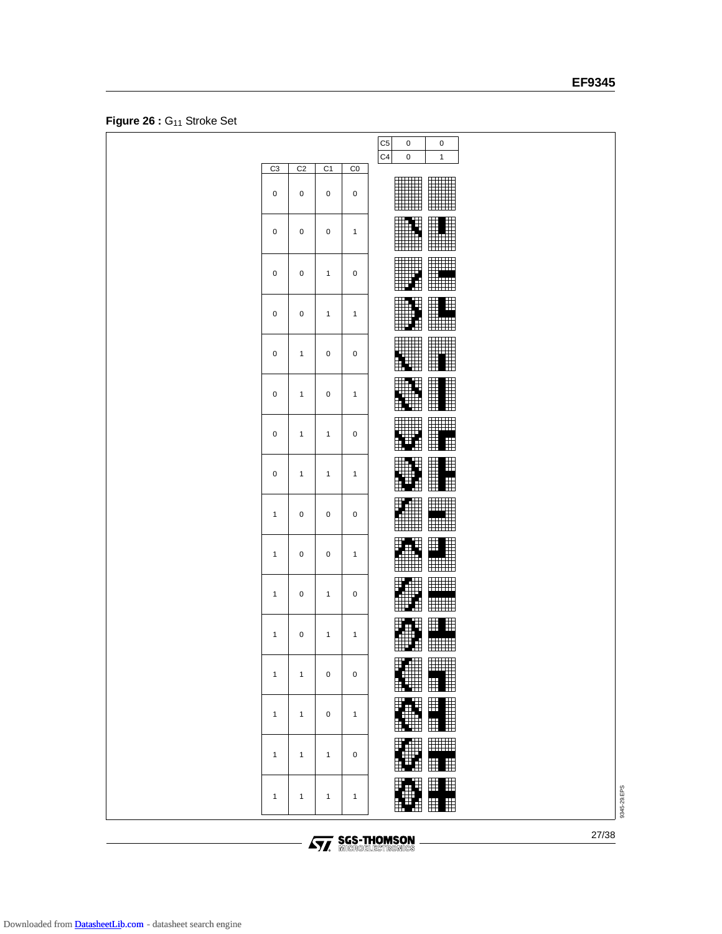# **EF9345**

|              |                |                |              | C <sub>5</sub><br>0<br>0                                                   |
|--------------|----------------|----------------|--------------|----------------------------------------------------------------------------|
| C3           | C <sub>2</sub> | C <sub>1</sub> | $_{\rm CO}$  | C <sub>4</sub><br>$\pmb{0}$<br>$\mathbf{1}$                                |
| 0            | 0              | $\mathbf 0$    | $\mathbf 0$  | ill.                                                                       |
| 0            | 0              | $\pmb{0}$      | $\mathbf{1}$ | E<br><b>THE</b><br><b>THEF</b>                                             |
| 0            | $\pmb{0}$      | $\mathbf{1}$   | $\pmb{0}$    | HIII<br>Ħ                                                                  |
| 0            | 0              | $\mathbf{1}$   | $\mathbf{1}$ | ii d<br>Ë                                                                  |
| 0            | $\mathbf{1}$   | 0              | 0            | $\blacksquare$                                                             |
| 0            | $\mathbf{1}$   | 0              | $\mathbf{1}$ |                                                                            |
| 0            | $\mathbf{1}$   | $\mathbf{1}$   | $\mathbf 0$  | H<br>$\pm\text{H}\pm\text{H}$<br>₩<br>田<br>П<br>Ŧ                          |
| 0            | $\mathbf{1}$   | $\mathbf{1}$   | $\mathbf{1}$ | Ħ<br>囲<br>₩<br>a a ser<br>H<br>$\mathbb H$<br>E                            |
| $\mathbf{1}$ | 0              | 0              | $\pmb{0}$    | ⊞<br>鼺<br>HH                                                               |
| $\mathbf{1}$ | 0              | 0              | $\mathbf{1}$ | $\mathbb H$<br>╫<br>E.<br><b>HHHH</b>                                      |
| $\mathbf{1}$ | 0              | $\mathbf{1}$   | $\pmb{0}$    |                                                                            |
| $\mathbf{1}$ | 0              | $\mathbf{1}$   | $\mathbf{1}$ | <b>HHHH</b><br>⊞                                                           |
| $\mathbf{1}$ | $\mathbf{1}$   | 0              | $\pmb{0}$    | W<br>Ħ                                                                     |
| $\mathbf{1}$ | $\mathbf{1}$   | 0              | $\mathbf{1}$ | Fall<br>$\blacksquare$<br>$\blacksquare$                                   |
| $\mathbf{1}$ | $\mathbf{1}$   | $\mathbf{1}$   | $\mathbf 0$  | $\mathbb{I}$<br><b>HIHE</b><br>ſ<br>$\boxplus$<br>用<br>⊞                   |
| $\mathbf{1}$ | $\mathbf{1}$   | $\mathbf{1}$   | $\mathbf{1}$ | $\blacksquare$<br>H<br>$\blacksquare$<br>$\pm$<br>M<br>$\blacksquare$<br>⋕ |

Figure 26 : G<sub>11</sub> Stroke Set

**Ay, SGS-THOMSON**<br>MICROELECTRONICS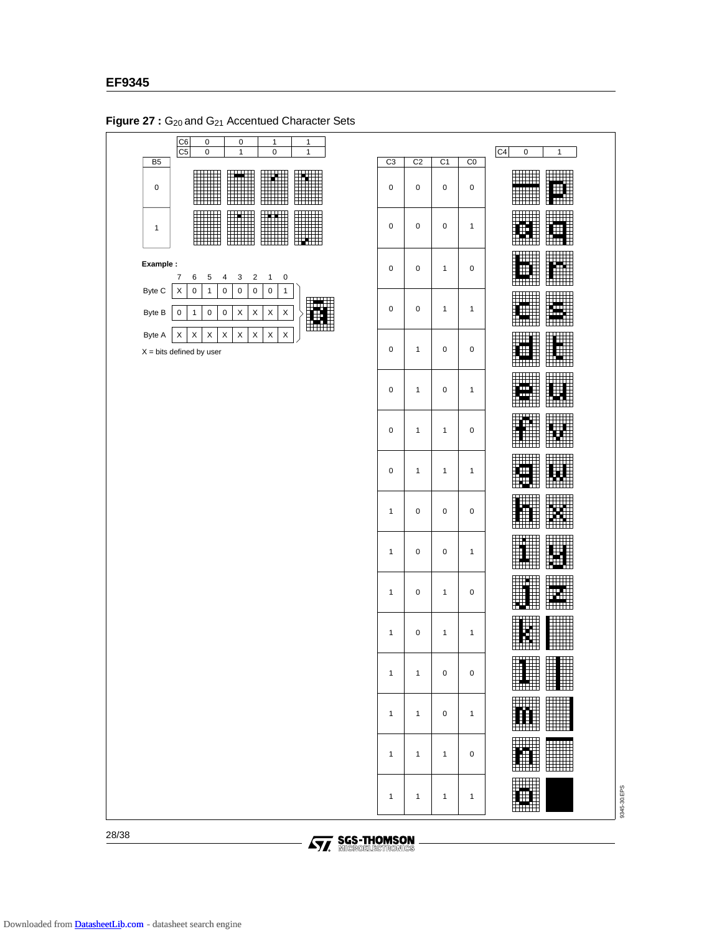

Figure 27 : G<sub>20</sub> and G<sub>21</sub> Accentued Character Sets

28/38

**AVA** SGS-THOMSON

9345-30.EPS

9345-30.EPS

ĦĦ.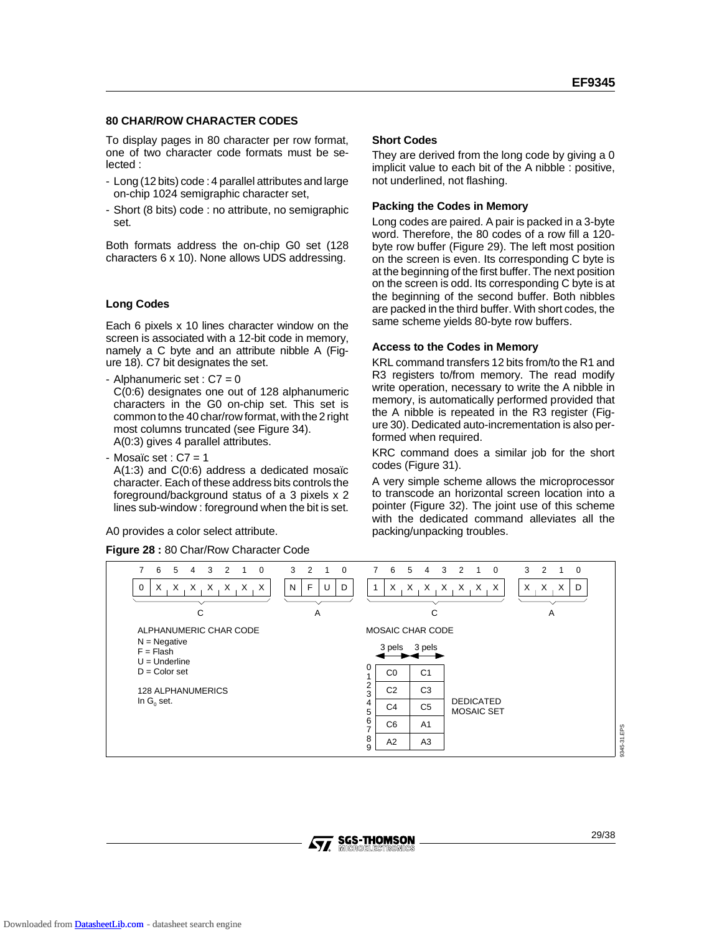### **80 CHAR/ROW CHARACTER CODES**

To display pages in 80 character per row format, one of two character code formats must be selected :

- Long (12 bits) code : 4 parallel attributes and large on-chip 1024 semigraphic character set,
- Short (8 bits) code : no attribute, no semigraphic set.

Both formats address the on-chip G0 set (128 characters 6 x 10). None allows UDS addressing.

### **Long Codes**

Each 6 pixels x 10 lines character window on the screen is associated with a 12-bit code in memory, namely a C byte and an attribute nibble A (Figure 18). C7 bit designates the set.

- Alphanumeric set : C7 = 0 C(0:6) designates one out of 128 alphanumeric characters in the G0 on-chip set. This set is common to the 40 char/row format, with the 2 right most columns truncated (see Figure 34). A(0:3) gives 4 parallel attributes.

- Mosaïc set :  $C7 = 1$ 

A(1:3) and C(0:6) address a dedicated mosaïc character. Each of these address bits controls the foreground/background status of a 3 pixels x 2 lines sub-window : foreground when the bit is set.

A0 provides a color select attribute.

**Figure 28 :** 80 Char/Row Character Code

### **Short Codes**

They are derived from the long code by giving a 0 implicit value to each bit of the A nibble : positive, not underlined, not flashing.

### **Packing the Codes in Memory**

Long codes are paired. A pair is packed in a 3-byte word. Therefore, the 80 codes of a row fill a 120 byte row buffer (Figure 29). The left most position on the screen is even. Its corresponding C byte is at the beginning of the first buffer. The next position on the screen is odd. Its corresponding C byte is at the beginning of the second buffer. Both nibbles are packed in the third buffer. With short codes, the same scheme yields 80-byte row buffers.

### **Access to the Codes in Memory**

KRL command transfers 12 bits from/to the R1 and R3 registers to/from memory. The read modify write operation, necessary to write the A nibble in memory, is automatically performed provided that the A nibble is repeated in the R3 register (Figure 30). Dedicated auto-incrementation is also performed when required.

KRC command does a similar job for the short codes (Figure 31).

A very simple scheme allows the microprocessor to transcode an horizontal screen location into a pointer (Figure 32). The joint use of this scheme with the dedicated command alleviates all the packing/unpacking troubles.

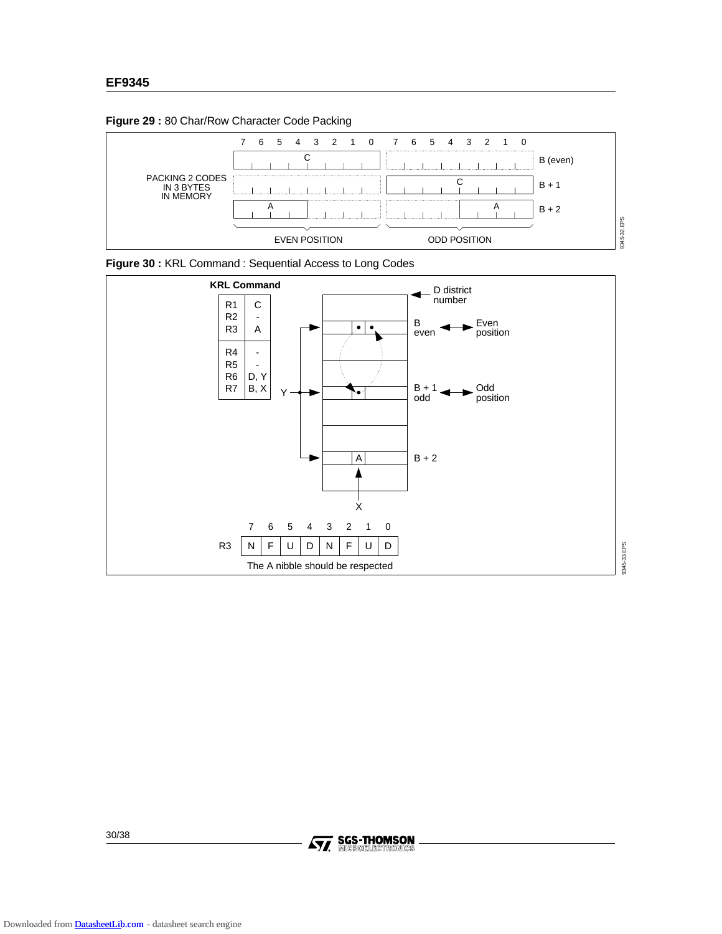**Figure 29 :** 80 Char/Row Character Code Packing







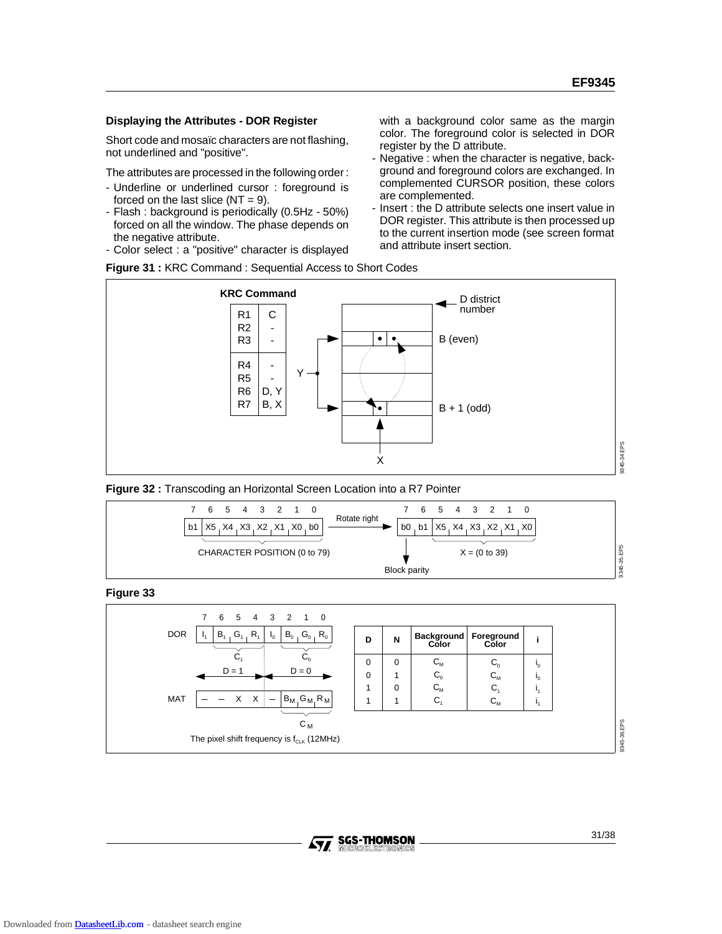### **Displaying the Attributes - DOR Register**

Short code and mosaïc characters are not flashing, not underlined and "positive".

The attributes are processed in the following order :

- Underline or underlined cursor : foreground is forced on the last slice  $(NT = 9)$ .
- Flash : background is periodically (0.5Hz 50%) forced on all the window. The phase depends on the negative attribute.
- Color select : a "positive" character is displayed

with a background color same as the margin color. The foreground color is selected in DOR register by the D attribute.

- Negative : when the character is negative, background and foreground colors are exchanged. In complemented CURSOR position, these colors are complemented.
- Insert : the D attribute selects one insert value in DOR register. This attribute is then processed up to the current insertion mode (see screen format and attribute insert section.









**Figure 33**



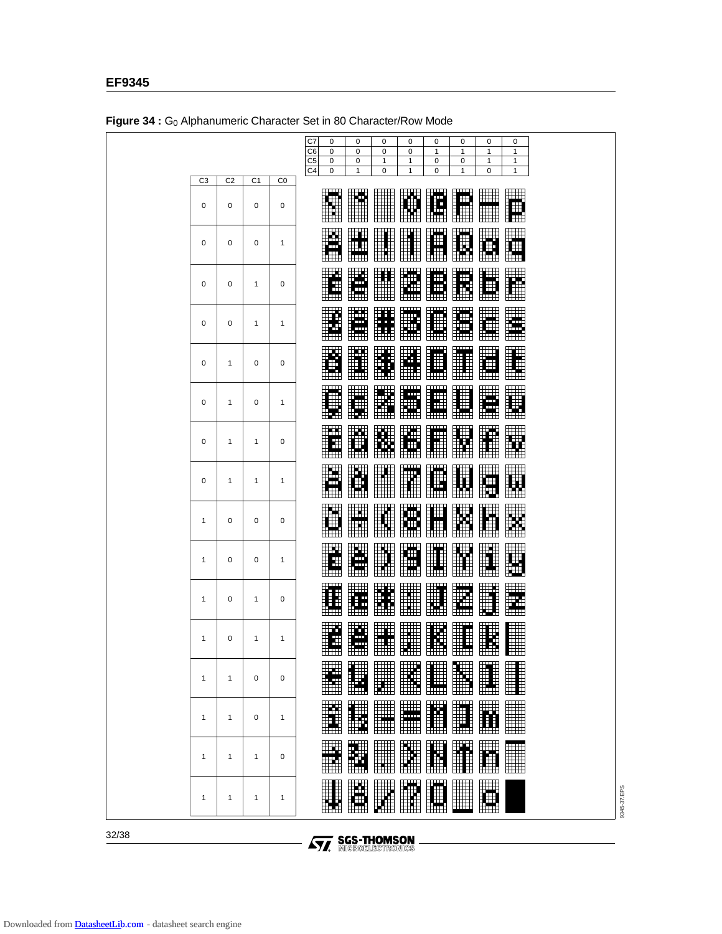|                |                |                |                | C7<br>0<br>0<br>0<br>0<br>0<br>0<br>0<br>0<br>C <sub>6</sub><br>0<br>0<br>0<br>0<br>$\mathbf{1}$<br>1<br>$\mathbf{1}$<br>1<br>C <sub>5</sub><br>0<br>1<br>0<br>$\mathbf{1}$<br>0<br>1<br>0<br>$\mathbf{1}$<br>C4<br>0<br>$\mathbf{1}$<br>0<br>0<br>0<br>$\mathbf{1}$<br>1<br>1 |             |
|----------------|----------------|----------------|----------------|--------------------------------------------------------------------------------------------------------------------------------------------------------------------------------------------------------------------------------------------------------------------------------|-------------|
| C <sub>3</sub> | C <sub>2</sub> | C <sub>1</sub> | C <sub>0</sub> |                                                                                                                                                                                                                                                                                |             |
| 0              | 0              | 0              | 0              | ╥╖<br>╥╥╥<br>╓┰┰┰┰<br>E<br>$\frac{1}{2}$<br>▦<br><b>THE</b><br>lite<br>E<br>ŧ<br>Ħ<br>H<br>$\mathbb{H}^{\bullet}$ .<br>ĦŦĦ<br>EŦ<br>⊞<br>⊞<br><b>HHH</b>                                                                                                                       |             |
| 0              | 0              | 0              | 1              | $\blacksquare$<br>TTTTTT<br>ㅠㅠ<br>mm<br>$\Box$<br>$\Box \Box \Box$<br>╓┰┰┰<br>W<br>m<br>H<br>∰<br>I.<br>$\mathbf{B}$<br>Œ<br>į.<br>ш<br>i in I<br>m<br>ĦŦĦ<br>⊞⊞<br>$\Box$<br>$\overline{a}$<br>$\Box$                                                                         |             |
| 0              | 0              | $\mathbf{1}$   | 0              | ₩<br>E<br>墙<br>⊞<br>H<br>H<br>щ<br>Ŧ<br>Ä<br>Ŧ<br>Ħ<br>Œ<br><u>im </u><br>HTTT<br>ŦŦŦ<br>$\Box$<br>⊞                                                                                                                                                                           |             |
| 0              | 0              | 1              | 1              | ш<br><b>THEFT</b><br>E<br>y.<br>W<br>X<br>lic.<br>щ<br>Ø<br>睡<br>m<br>$\Box$<br>أيريا<br>$\mathbf{H}$<br>ĦŦ<br>$\overline{\mathrm{H}}$<br>⊞⊞                                                                                                                                   |             |
| 0              | 1              | 0              | 0              | ╥╥╥<br>H<br>W<br>₩<br>I<br>m<br>$\frac{1}{1}$<br>W<br>t.<br>Ħ<br>H<br><b>in T</b><br>m                                                                                                                                                                                         |             |
| 0              | $\mathbf{1}$   | 0              | 1              | mт<br><b>TTTT</b><br>TTTTT<br>mm 11<br>╥╥╖<br><b>THE</b><br>₩<br>- 1<br>Ŧ<br>m<br>圃<br>mп,<br>Ħ<br>$^+$<br><b>FOR</b><br>Hink<br>ж<br>ĦŦ<br>₩<br>₩<br>▦<br>٣m<br><b>HTTT</b>                                                                                                   |             |
| 0              | 1              | $\mathbf{1}$   | 0              | ш<br>t.<br>po<br>E<br>E<br>ĦĦ<br>Ŧ<br>it:<br>M<br>▓<br>ĦŦ<br>m<br>ᄈ                                                                                                                                                                                                            |             |
| 0              | 1              | 1              | 1              | шш<br>E<br>ü<br>W<br>lin.<br>Ölü<br>Œ<br>F<br>Ш<br>H.<br>Ŧ<br>m<br>there                                                                                                                                                                                                       |             |
| $\mathbf{1}$   | 0              | 0              | 0              | m<br>I<br>╈╈╈<br>M<br>⊞<br>E<br><b>ETT</b><br>H<br><del>unin</del><br>⊞⊞                                                                                                                                                                                                       |             |
| $\mathbf{1}$   | 0              | 0              | 1              | E<br>.<br><b>11111</b><br>H<br>Н<br>ш<br>ili<br>Ili<br>œ<br>ET<br>Ħ<br>H<br>HTT<br>HH H                                                                                                                                                                                        |             |
| $\mathbf{1}$   | 0              | $\mathbf{1}$   | 0              | <b>William</b><br>╫╫╫<br>₩₩<br>H<br>W<br><b>III</b><br>Ħ<br>₩<br>Æ<br>ш<br>E<br>▦<br>$\boxplus$<br>Œ<br>$\Box$<br>ШШ<br>للثلثا                                                                                                                                                 |             |
| $\mathbf{1}$   | 0              | 1              | 1              | ШA.<br>E<br>W<br>╥╖<br>╥╥<br><b>TE</b><br>I<br>H<br>H<br>Ŧ<br>⊞⊞⊞                                                                                                                                                                                                              |             |
| 1              | 1              | $\mathbf 0$    | $\mathbf 0$    | $\overline{\mathbb{H}}^{\mathfrak{m}}$<br><b>The Second Second</b><br>E<br>H<br>W<br>$\Box \Box \Box$<br>æ<br>II<br>H<br>⊞⊞<br>⊞⊞                                                                                                                                              |             |
| 1              | $\mathbf{1}$   | 0              | $\mathbf{1}$   | T<br>E<br>I<br>$\Box$<br>Ħ<br>m<br><b>Film</b><br>H.<br><b>HATHE</b><br>ᄈ<br>سسا                                                                                                                                                                                               |             |
| $\mathbf{1}$   | 1              | $\mathbf{1}$   | 0              | E<br><u>em</u><br>E<br><b>WA</b><br><b>William</b><br>H<br>I<br>Ħ                                                                                                                                                                                                              |             |
| 1              | 1              | $\mathbf{1}$   | 1              | <b>TE</b><br>E<br>W.<br>H<br><b>THE</b><br>W<br><b>in</b>                                                                                                                                                                                                                      | 9345-37.EPS |

Figure 34 : Go Alphanumeric Character Set in 80 Character/Row Mode

32/38

**AVA** SGS-THOMSON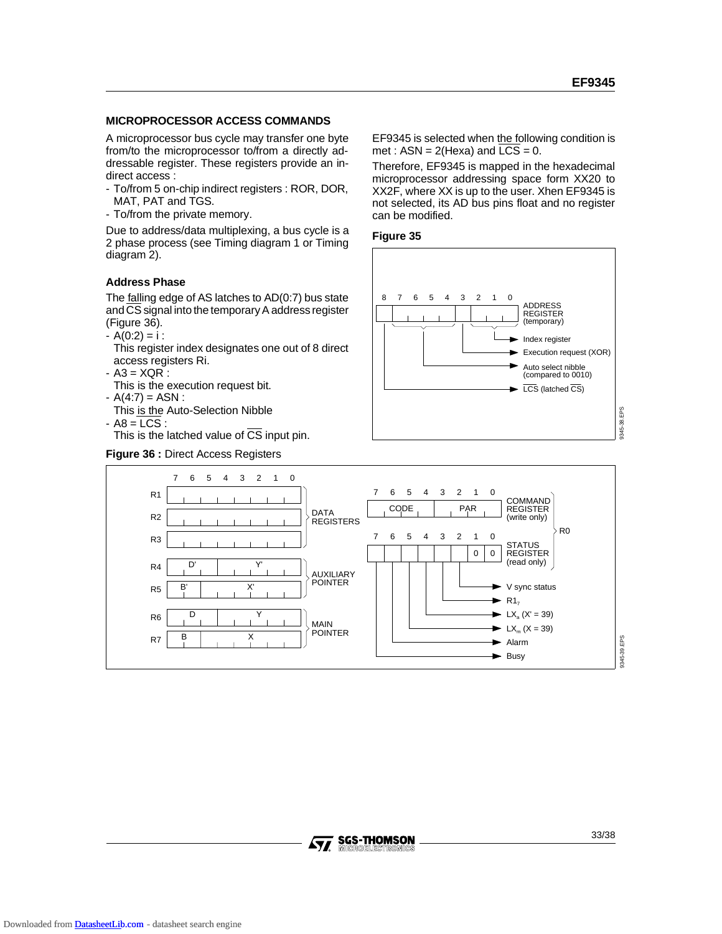### **MICROPROCESSOR ACCESS COMMANDS**

A microprocessor bus cycle may transfer one byte from/to the microprocessor to/from a directly addressable register. These registers provide an indirect access :

- To/from 5 on-chip indirect registers : ROR, DOR, MAT, PAT and TGS.
- To/from the private memory.

Due to address/data multiplexing, a bus cycle is a 2 phase process (see Timing diagram 1 or Timing diagram 2).

### **Address Phase**

The **falling edge of AS latches to AD(0:7)** bus state and CS signal into the temporary A address register (Figure 36).

- $A(0:2) = i$ :
- This register index designates one out of 8 direct access registers Ri.
- A3 = XQR :
- This is the execution request bit.
- $A(4:7) = ASN$ :
- This is the Auto-Selection Nibble

 $-$  A8 = LCS : This is the latched value of  $\overline{CS}$  input pin.

### **Figure 36 :** Direct Access Registers

EF9345 is selected when the following condition is met :  $ASN = 2$ (Hexa) and  $LCS = 0$ .

Therefore, EF9345 is mapped in the hexadecimal microprocessor addressing space form XX20 to XX2F, where XX is up to the user. Xhen EF9345 is not selected, its AD bus pins float and no register can be modified.







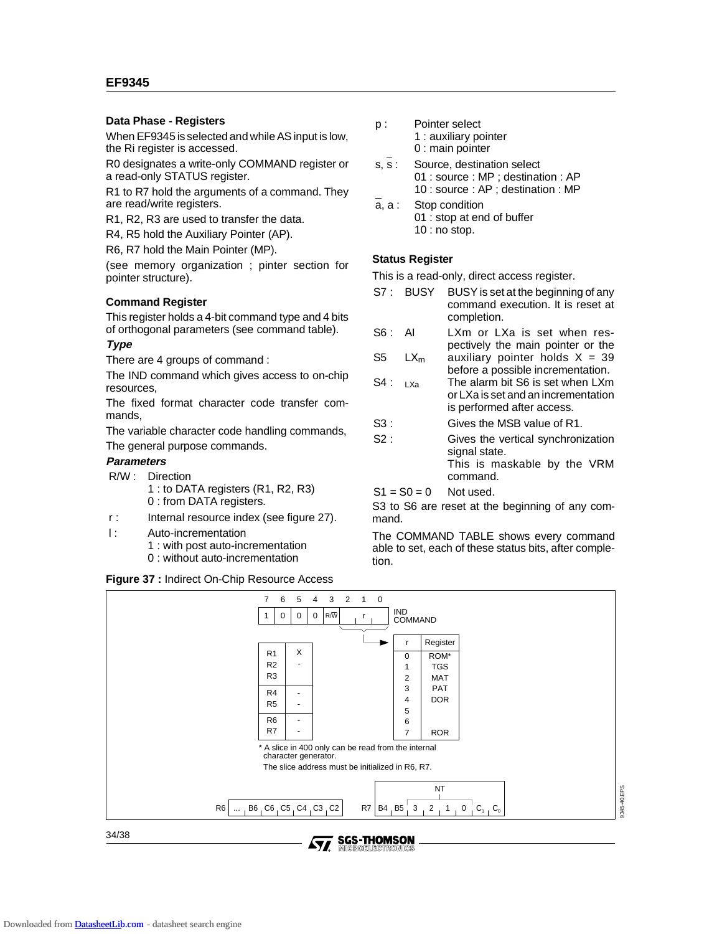### **EF9345**

### **Data Phase - Registers**

When EF9345 is selected and while AS input is low, the Ri register is accessed.

R0 designates a write-only COMMAND register or a read-only STATUS register.

R1 to R7 hold the arguments of a command. They are read/write registers.

R1, R2, R3 are used to transfer the data.

R4, R5 hold the Auxiliary Pointer (AP).

R6, R7 hold the Main Pointer (MP).

(see memory organization ; pinter section for pointer structure).

### **Command Register**

This register holds a 4-bit command type and 4 bits of orthogonal parameters (see command table).

### **Type**

There are 4 groups of command :

The IND command which gives access to on-chip resources,

The fixed format character code transfer commands,

The variable character code handling commands,

The general purpose commands.

### **Parameters**

- R/W : Direction
	- 1 : to DATA registers (R1, R2, R3) 0 : from DATA registers.
- r : Internal resource index (see figure 27).
- l : Auto-incrementation 1 : with post auto-incrementation
	- 0 : without auto-incrementation

### **Figure 37 :** Indirect On-Chip Resource Access

- p : Pointer select 1 : auxiliary pointer 0 : main pointer
- s, s : Source, destination select 01 : source : MP ; destination : AP 10 : source : AP ; destination : MP
- a, a : Stop condition 01 : stop at end of buffer 10 : no stop.

### **Status Register**

This is a read-only, direct access register.

- S7 : BUSY BUSY is set at the beginning of any command execution. It is reset at completion.
- S6 : AI LXm or LXa is set when respectively the main pointer or the
- S5  $LX_m$ auxiliary pointer holds  $X = 39$ before a possible incrementation.
- S4 : LXa The alarm bit S6 is set when LXm or LXa is set and an incrementation is performed after access.
- S3 : Gives the MSB value of R1.
- S2 : Gives the vertical synchronization signal state. This is maskable by the VRM command.

 $S1 = S0 = 0$  Not used.

S3 to S6 are reset at the beginning of any command.

The COMMAND TABLE shows every command able to set, each of these status bits, after completion.



**SGS-THOMSON**<br>MICROELECTRONICS AV.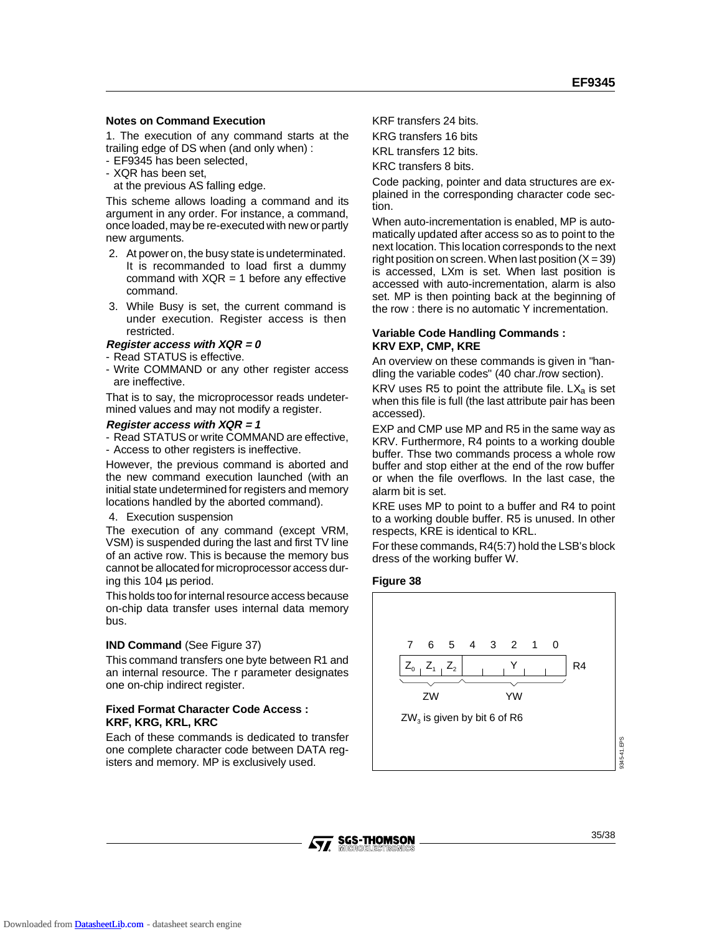### **Notes on Command Execution**

1. The execution of any command starts at the trailing edge of DS when (and only when) :

- EF9345 has been selected,
- XQR has been set,
- at the previous AS falling edge.

This scheme allows loading a command and its argument in any order. For instance, a command, once loaded, may be re-executed with new or partly new arguments.

- 2. At power on, the busy state is undeterminated. It is recommanded to load first a dummy command with  $XQR = 1$  before any effective command.
- 3. While Busy is set, the current command is under execution. Register access is then restricted.

### **Register access with XQR = 0**

- Read STATUS is effective.
- Write COMMAND or any other register access are ineffective.

That is to say, the microprocessor reads undetermined values and may not modify a register.

### **Register access with XQR = 1**

- Read STATUS or write COMMAND are effective,
- Access to other registers is ineffective.

However, the previous command is aborted and the new command execution launched (with an initial state undetermined for registers and memory locations handled by the aborted command).

### 4. Execution suspension

The execution of any command (except VRM, VSM) is suspended during the last and first TV line of an active row. This is because the memory bus cannot be allocated for microprocessor access during this 104 µs period.

This holds too for internal resource access because on-chip data transfer uses internal data memory bus.

### **IND Command** (See Figure 37)

This command transfers one byte between R1 and an internal resource. The r parameter designates one on-chip indirect register.

### **Fixed Format Character Code Access : KRF, KRG, KRL, KRC**

Each of these commands is dedicated to transfer one complete character code between DATA registers and memory. MP is exclusively used.

KRF transfers 24 bits. KRG transfers 16 bits

KRL transfers 12 bits.

KRC transfers 8 bits.

Code packing, pointer and data structures are explained in the corresponding character code section.

When auto-incrementation is enabled, MP is automatically updated after access so as to point to the next location. This location corresponds to the next right position on screen. When last position  $(X = 39)$ is accessed, LXm is set. When last position is accessed with auto-incrementation, alarm is also set. MP is then pointing back at the beginning of the row : there is no automatic Y incrementation.

### **Variable Code Handling Commands : KRV EXP, CMP, KRE**

An overview on these commands is given in "handling the variable codes" (40 char./row section).

KRV uses R5 to point the attribute file.  $LX_a$  is set when this file is full (the last attribute pair has been accessed).

EXP and CMP use MP and R5 in the same way as KRV. Furthermore, R4 points to a working double buffer. Thse two commands process a whole row buffer and stop either at the end of the row buffer or when the file overflows. In the last case, the alarm bit is set.

KRE uses MP to point to a buffer and R4 to point to a working double buffer. R5 is unused. In other respects, KRE is identical to KRL.

For these commands, R4(5:7) hold the LSB's block dress of the working buffer W.

### **Figure 38**



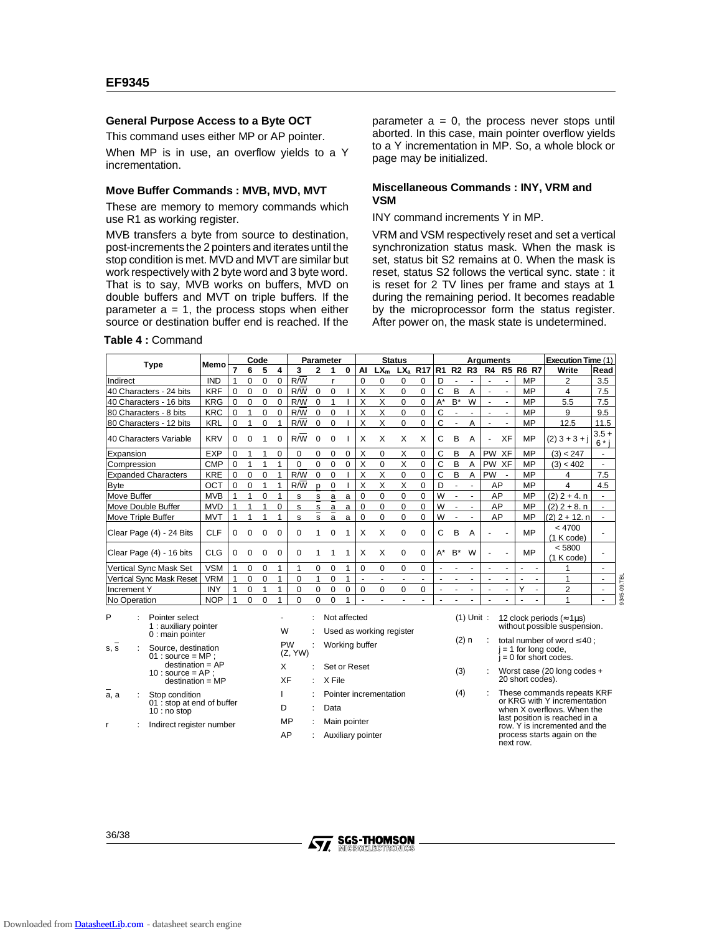### **General Purpose Access to a Byte OCT**

This command uses either MP or AP pointer.

When MP is in use, an overflow yields to a Y incrementation.

### **Move Buffer Commands : MVB, MVD, MVT**

These are memory to memory commands which use R1 as working register.

MVB transfers a byte from source to destination, post-increments the 2 pointers and iterates until the stop condition is met. MVD and MVT are similar but work respectively with 2 byte word and 3 byte word. That is to say, MVB works on buffers, MVD on double buffers and MVT on triple buffers. If the parameter  $a = 1$ , the process stops when either source or destination buffer end is reached. If the

**Table 4 :** Command

s, s : Source, destination  $01$  : source = MP destination = AP  $10:$  source = AP destination = MP

 $\overline{a}$ , a : Stop condition

10 : no stop r : Indirect register number

: stop at end of buffer

PW (Z, YW) parameter  $a = 0$ , the process never stops until aborted. In this case, main pointer overflow yields to a Y incrementation in MP. So, a whole block or page may be initialized.

### **Miscellaneous Commands : INY, VRM and VSM**

### INY command increments Y in MP.

VRM and VSM respectively reset and set a vertical synchronization status mask. When the mask is set, status bit S2 remains at 0. When the mask is reset, status S2 follows the vertical sync. state : it is reset for 2 TV lines per frame and stays at 1 during the remaining period. It becomes readable by the microprocessor form the status register. After power on, the mask state is undetermined.

|                                                                  | Memo       | Code     |          |          |          | <b>Status</b><br>Parameter |              |              |   |             |                          |          |                |       |                          | Arguments                |                          |                |                 | Execution Time (1) |                                                                         |               |
|------------------------------------------------------------------|------------|----------|----------|----------|----------|----------------------------|--------------|--------------|---|-------------|--------------------------|----------|----------------|-------|--------------------------|--------------------------|--------------------------|----------------|-----------------|--------------------|-------------------------------------------------------------------------|---------------|
| <b>Type</b>                                                      |            |          | 6        | 5        | 4        | 3                          | $\mathbf{2}$ |              | 0 | AI          | $LX_m$                   |          | $LXa$ R17 R1   |       |                          | <b>R2 R3</b>             | R4                       |                | <b>R5 R6 R7</b> |                    | Write                                                                   | Read          |
| Indirect                                                         | <b>IND</b> |          | 0        | $\Omega$ | 0        | R/W                        |              |              |   | $\Omega$    | 0                        | 0        | 0              | D     |                          |                          |                          |                | MP              |                    | 2                                                                       | 3.5           |
| 40 Characters - 24 bits                                          | <b>KRF</b> | $\Omega$ | $\Omega$ | 0        | 0        | R/W                        | $\Omega$     | $\Omega$     |   | X           | X                        | $\Omega$ | 0              | C     | B                        | A                        |                          |                | MP              |                    | 4                                                                       | 7.5           |
| 40 Characters - 16 bits                                          | <b>KRG</b> | $\Omega$ | $\Omega$ | $\Omega$ | 0        | R/W                        | $\Omega$     |              |   | X           | X                        | $\Omega$ | 0              | $A^*$ | $B^*$                    | W                        | ٠                        |                | MP              |                    | 5.5                                                                     | 7.5           |
| 80 Characters - 8 bits                                           | <b>KRC</b> | 0        |          | $\Omega$ | 0        | R/W                        | $\Omega$     | $\Omega$     |   | X           | X                        | $\Omega$ | 0              | С     |                          |                          |                          |                | MP              |                    | 9                                                                       | 9.5           |
| 80 Characters - 12 bits                                          | <b>KRL</b> | 0        |          | $\Omega$ |          | R/W                        | 0            | $\Omega$     |   | X           | X                        | 0        | 0              | C     |                          | A                        | ٠                        | $\blacksquare$ | MP              |                    | 12.5                                                                    | 11.5          |
| 40 Characters Variable                                           | <b>KRV</b> | 0        | $\Omega$ | 1        | 0        | $R/\overline{W}$           | $\Omega$     | $\Omega$     |   | X           | X                        | X        | X              | C     | B                        | A                        | $\overline{\phantom{a}}$ | XF             | <b>MP</b>       |                    | $(2)$ 3 + 3 + j                                                         | $3.5+$<br>6 * |
| Expansion                                                        | <b>EXP</b> | 0        |          |          | 0        | 0                          | 0            | 0            | 0 | X           | 0                        | X        | 0              | C     | B                        | A                        | <b>PW</b>                | XF             | MP              |                    | (3) < 247                                                               | ٠             |
| Compression                                                      | <b>CMP</b> | $\Omega$ |          |          |          | 0                          | 0            | $\Omega$     | 0 | X           | 0                        | X        | 0              | C     | B                        | A                        | <b>PW</b>                | XF             | MP              |                    | (3) < 402                                                               |               |
| <b>Expanded Characters</b>                                       | <b>KRE</b> | $\Omega$ | $\Omega$ | 0        |          | R/W                        | $\Omega$     | $\Omega$     |   | X           | X                        | $\Omega$ | 0              | C     | B                        | A                        | <b>PW</b>                |                | MP              |                    | 4                                                                       | 7.5           |
| <b>Byte</b>                                                      | OCT        | $\Omega$ | $\Omega$ |          |          | R/W                        | D            | 0            |   | X           | X                        | X        | 0              | D     |                          |                          | AP                       |                | MP              |                    | 4                                                                       | 4.5           |
| Move Buffer                                                      | <b>MVB</b> |          |          | $\Omega$ |          | s                          | s            | a            | a | $\mathbf 0$ | $\Omega$                 | $\Omega$ | 0              | W     | ۰                        | $\blacksquare$           | AP                       |                | MP              |                    | $(2)$ 2 + 4. n                                                          |               |
| Move Double Buffer                                               | <b>MVD</b> |          |          |          | 0        | s                          | s            | a            | a | 0           | 0                        | $\Omega$ | 0              | W     | $\overline{\phantom{a}}$ | $\overline{\phantom{a}}$ | AP                       |                | MP              |                    | $(2)$ 2 + 8. n                                                          |               |
| Move Triple Buffer                                               | <b>MVT</b> |          |          |          |          | s                          | s            | a            | a | $\Omega$    | 0                        | $\Omega$ | 0              | W     |                          |                          | AP                       |                | MP              |                    | (2) 2 + 12. n                                                           |               |
| Clear Page (4) - 24 Bits                                         | <b>CLF</b> | 0        | 0        | $\Omega$ | $\Omega$ | $\Omega$                   |              | $\Omega$     |   | X           | X                        | $\Omega$ | 0              | C     | B                        | A                        |                          |                | MP              |                    | < 4700<br>(1 K code)                                                    |               |
| Clear Page (4) - 16 bits                                         | <b>CLG</b> | 0        | 0        | $\Omega$ | $\Omega$ | 0                          |              |              |   | X           | X                        | $\Omega$ | $\Omega$       | $A^*$ | $B^*$                    | W                        |                          |                | MP              |                    | < 5800<br>(1 K code)                                                    |               |
| Vertical Sync Mask Set                                           | <b>VSM</b> |          | 0        | 0        |          |                            | $\Omega$     | 0            |   | 0           | 0                        | 0        | 0              |       |                          |                          |                          |                |                 |                    |                                                                         |               |
| Vertical Sync Mask Reset                                         | <b>VRM</b> |          | 0        | 0        |          | 0                          |              | 0            |   |             |                          |          | $\overline{a}$ |       |                          |                          |                          |                |                 | $\blacksquare$     |                                                                         |               |
| Increment Y                                                      | INY        |          | 0        |          |          | 0                          | 0            | 0            | 0 | 0           | 0                        | 0        | 0              |       |                          |                          |                          |                |                 |                    | 2                                                                       |               |
| No Operation                                                     | <b>NOP</b> |          | $\Omega$ | 0        |          | $\Omega$                   | $\Omega$     | $\Omega$     |   |             |                          |          |                |       |                          |                          |                          |                |                 |                    |                                                                         |               |
| P<br>Pointer select<br>1 : auxiliary pointer<br>0 : main pointer |            |          |          |          | W        |                            |              | Not affected |   |             | Used as working register |          |                |       | $\sim$                   | $(1)$ Unit :             |                          |                |                 |                    | 12 clock periods ( $\approx$ 1 $\mu$ s)<br>without possible suspension. |               |

: Working buffer

I : Pointer incrementation

X : Set or Reset XF : X File

D : Data MP : Main pointer AP : Auxiliary pointer

| (2) n | $j = 1$ for long code,<br>$j = 0$ for short codes. | total number of word $\leq 40$ ; |  |
|-------|----------------------------------------------------|----------------------------------|--|
|       |                                                    |                                  |  |

(3) : Worst case (20 long codes + 20 short codes).

(4) : These commands repeats KRF or KRG with Y incrementation when X overflows. When the last position is reached in a row. Y is incremented and the process starts again on the next row.

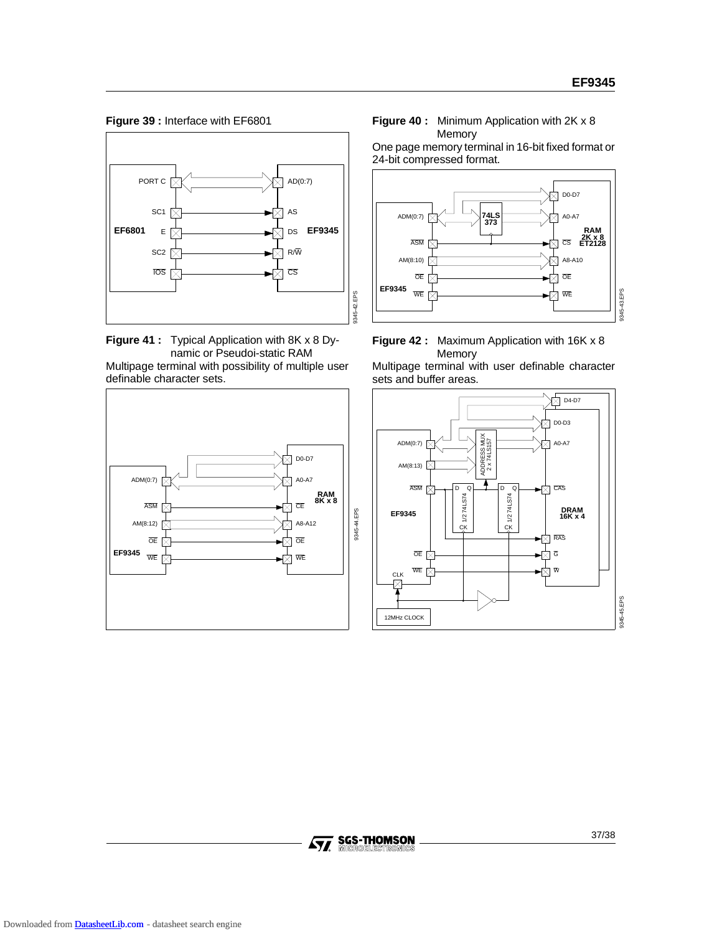**Figure 39 :** Interface with EF6801







**Figure 40 :** Minimum Application with 2K x 8 Memory

One page memory terminal in 16-bit fixed format or 24-bit compressed format.





Multipage terminal with user definable character sets and buffer areas.